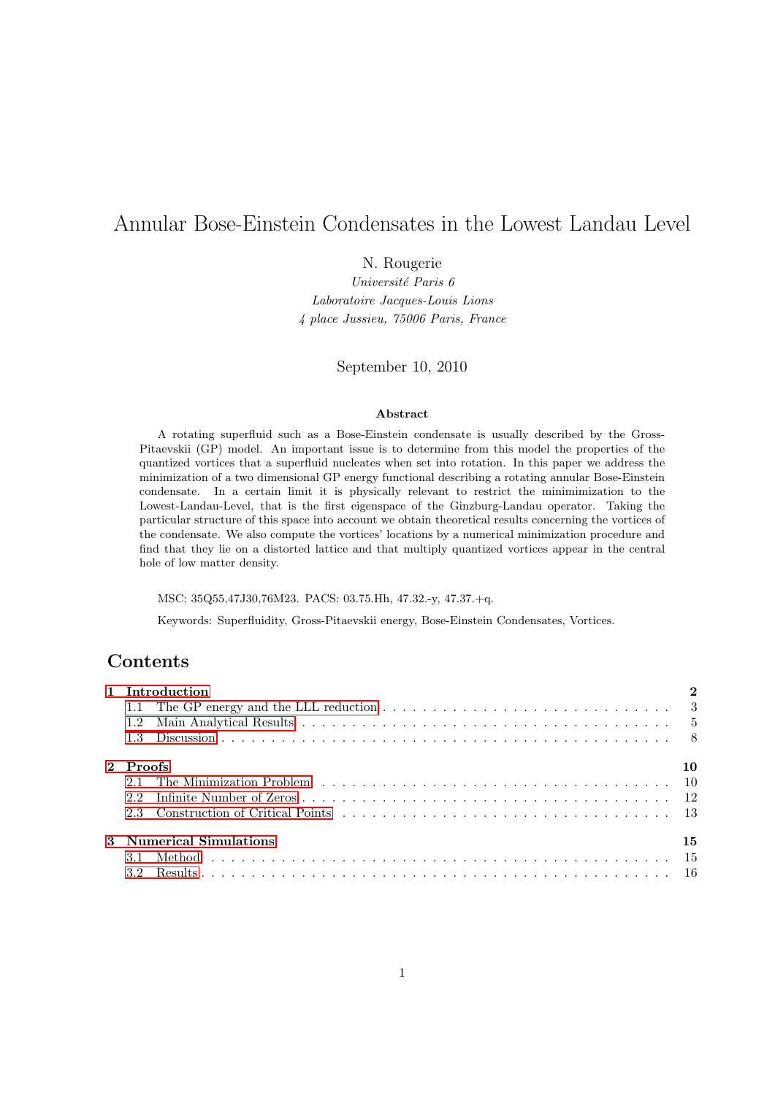# Annular Bose-Einstein Condensates in the Lowest Landau Level

N. Rougerie

Université Paris 6 Laboratoire Jacques-Louis Lions 4 place Jussieu, 75006 Paris, France

September 10, 2010

#### Abstract

A rotating superfluid such as a Bose-Einstein condensate is usually described by the Gross-Pitaevskii (GP) model. An important issue is to determine from this model the properties of the quantized vortices that a superfluid nucleates when set into rotation. In this paper we address the minimization of a two dimensional GP energy functional describing a rotating annular Bose-Einstein condensate. In a certain limit it is physically relevant to restrict the minimimization to the Lowest-Landau-Level, that is the first eigenspace of the Ginzburg-Landau operator. Taking the particular structure of this space into account we obtain theoretical results concerning the vortices of the condensate. We also compute the vortices' locations by a numerical minimization procedure and find that they lie on a distorted lattice and that multiply quantized vortices appear in the central hole of low matter density.

MSC: 35Q55,47J30,76M23. PACS: 03.75.Hh, 47.32.-y, 47.37.+q.

Keywords: Superfluidity, Gross-Pitaevskii energy, Bose-Einstein Condensates, Vortices.

# **Contents**

|                               | 1 Introduction                                                                                                          | $\overline{2}$ |  |
|-------------------------------|-------------------------------------------------------------------------------------------------------------------------|----------------|--|
|                               | 1.1 The GP energy and the LLL reduction $\dots \dots \dots \dots \dots \dots \dots \dots \dots \dots \dots \dots \dots$ |                |  |
|                               |                                                                                                                         |                |  |
|                               |                                                                                                                         |                |  |
|                               | 2 Proofs<br>10                                                                                                          |                |  |
|                               |                                                                                                                         |                |  |
|                               |                                                                                                                         |                |  |
|                               |                                                                                                                         |                |  |
| 3 Numerical Simulations<br>15 |                                                                                                                         |                |  |
|                               |                                                                                                                         |                |  |
| 3.2                           |                                                                                                                         |                |  |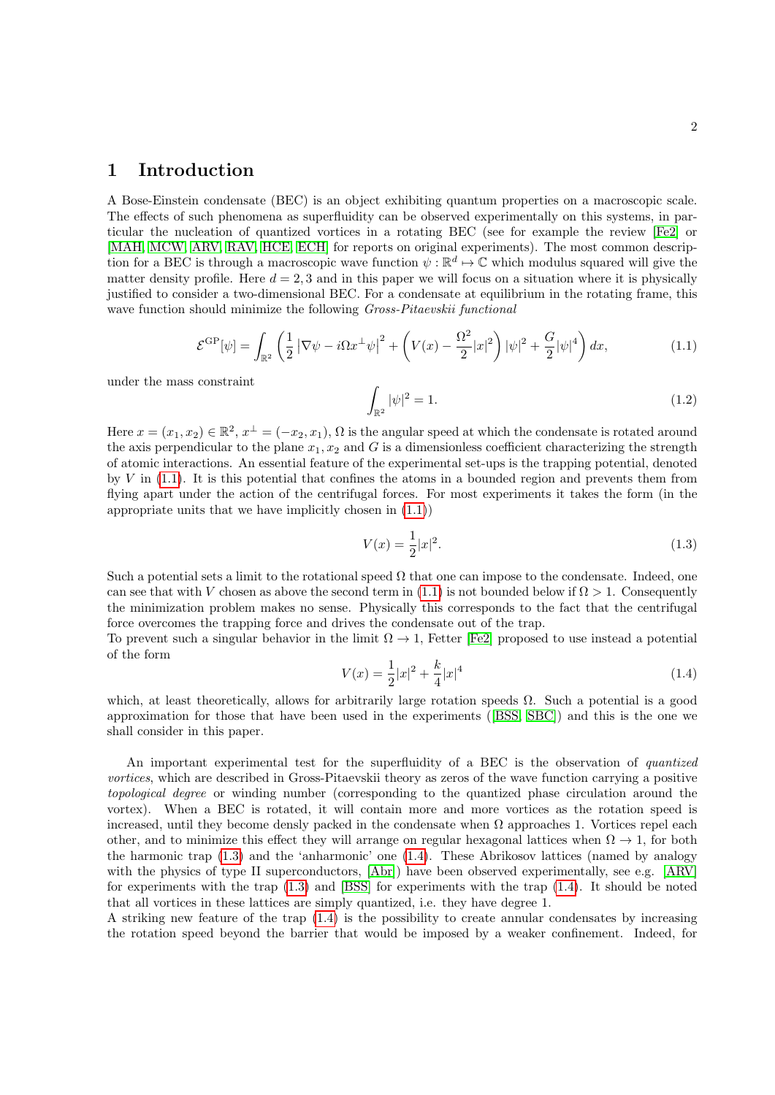# <span id="page-1-0"></span>1 Introduction

A Bose-Einstein condensate (BEC) is an object exhibiting quantum properties on a macroscopic scale. The effects of such phenomena as superfluidity can be observed experimentally on this systems, in particular the nucleation of quantized vortices in a rotating BEC (see for example the review [\[Fe2\]](#page-19-0) or [\[MAH,](#page-19-1) [MCW,](#page-19-2) [ARV,](#page-17-0) [RAV,](#page-20-0) [HCE,](#page-19-3) [ECH\]](#page-19-4) for reports on original experiments). The most common description for a BEC is through a macroscopic wave function  $\psi : \mathbb{R}^d \to \mathbb{C}$  which modulus squared will give the matter density profile. Here  $d = 2, 3$  and in this paper we will focus on a situation where it is physically justified to consider a two-dimensional BEC. For a condensate at equilibrium in the rotating frame, this wave function should minimize the following *Gross-Pitaevskii functional* 

$$
\mathcal{E}^{\rm GP}[\psi] = \int_{\mathbb{R}^2} \left(\frac{1}{2} \left| \nabla \psi - i\Omega x^\perp \psi \right|^2 + \left( V(x) - \frac{\Omega^2}{2} |x|^2 \right) |\psi|^2 + \frac{G}{2} |\psi|^4 \right) dx,\tag{1.1}
$$

under the mass constraint

<span id="page-1-1"></span>
$$
\int_{\mathbb{R}^2} |\psi|^2 = 1.
$$
\n(1.2)

Here  $x = (x_1, x_2) \in \mathbb{R}^2$ ,  $x^{\perp} = (-x_2, x_1)$ ,  $\Omega$  is the angular speed at which the condensate is rotated around the axis perpendicular to the plane  $x_1, x_2$  and G is a dimensionless coefficient characterizing the strength of atomic interactions. An essential feature of the experimental set-ups is the trapping potential, denoted by  $V$  in  $(1.1)$ . It is this potential that confines the atoms in a bounded region and prevents them from flying apart under the action of the centrifugal forces. For most experiments it takes the form (in the appropriate units that we have implicitly chosen in [\(1.1\)](#page-1-1))

<span id="page-1-2"></span>
$$
V(x) = \frac{1}{2}|x|^2.
$$
\n(1.3)

Such a potential sets a limit to the rotational speed  $\Omega$  that one can impose to the condensate. Indeed, one can see that with V chosen as above the second term in [\(1.1\)](#page-1-1) is not bounded below if  $\Omega > 1$ . Consequently the minimization problem makes no sense. Physically this corresponds to the fact that the centrifugal force overcomes the trapping force and drives the condensate out of the trap.

<span id="page-1-3"></span>To prevent such a singular behavior in the limit  $\Omega \to 1$ , Fetter [\[Fe2\]](#page-19-0) proposed to use instead a potential of the form

$$
V(x) = \frac{1}{2}|x|^2 + \frac{k}{4}|x|^4
$$
\n(1.4)

which, at least theoretically, allows for arbitrarily large rotation speeds  $\Omega$ . Such a potential is a good approximation for those that have been used in the experiments ([\[BSS,](#page-18-0) [SBC\]](#page-20-1)) and this is the one we shall consider in this paper.

An important experimental test for the superfluidity of a BEC is the observation of *quantized* vortices, which are described in Gross-Pitaevskii theory as zeros of the wave function carrying a positive topological degree or winding number (corresponding to the quantized phase circulation around the vortex). When a BEC is rotated, it will contain more and more vortices as the rotation speed is increased, until they become densly packed in the condensate when  $\Omega$  approaches 1. Vortices repel each other, and to minimize this effect they will arrange on regular hexagonal lattices when  $\Omega \to 1$ , for both the harmonic trap [\(1.3\)](#page-1-2) and the 'anharmonic' one [\(1.4\)](#page-1-3). These Abrikosov lattices (named by analogy with the physics of type II superconductors, [\[Abr\]](#page-18-1)) have been observed experimentally, see e.g. [\[ARV\]](#page-17-0) for experiments with the trap [\(1.3\)](#page-1-2) and [\[BSS\]](#page-18-0) for experiments with the trap [\(1.4\)](#page-1-3). It should be noted that all vortices in these lattices are simply quantized, i.e. they have degree 1.

A striking new feature of the trap [\(1.4\)](#page-1-3) is the possibility to create annular condensates by increasing the rotation speed beyond the barrier that would be imposed by a weaker confinement. Indeed, for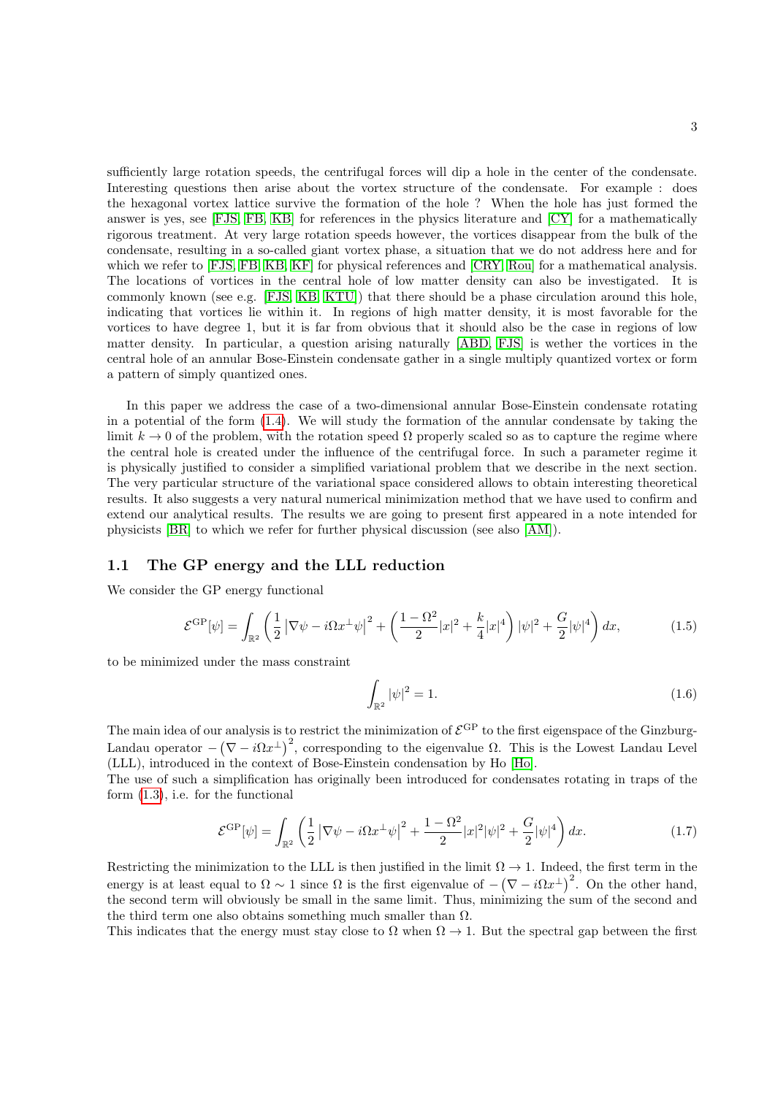sufficiently large rotation speeds, the centrifugal forces will dip a hole in the center of the condensate. Interesting questions then arise about the vortex structure of the condensate. For example : does the hexagonal vortex lattice survive the formation of the hole ? When the hole has just formed the answer is yes, see [\[FJS,](#page-19-5) [FB,](#page-19-6) [KB\]](#page-19-7) for references in the physics literature and [\[CY\]](#page-18-2) for a mathematically rigorous treatment. At very large rotation speeds however, the vortices disappear from the bulk of the condensate, resulting in a so-called giant vortex phase, a situation that we do not address here and for which we refer to [\[FJS,](#page-19-5) [FB,](#page-19-6) [KB,](#page-19-7) [KF\]](#page-19-8) for physical references and [\[CRY,](#page-18-3) [Rou\]](#page-20-2) for a mathematical analysis. The locations of vortices in the central hole of low matter density can also be investigated. It is commonly known (see e.g. [\[FJS,](#page-19-5) [KB,](#page-19-7) [KTU\]](#page-19-9)) that there should be a phase circulation around this hole, indicating that vortices lie within it. In regions of high matter density, it is most favorable for the vortices to have degree 1, but it is far from obvious that it should also be the case in regions of low matter density. In particular, a question arising naturally [\[ABD,](#page-18-4) [FJS\]](#page-19-5) is wether the vortices in the central hole of an annular Bose-Einstein condensate gather in a single multiply quantized vortex or form a pattern of simply quantized ones.

In this paper we address the case of a two-dimensional annular Bose-Einstein condensate rotating in a potential of the form [\(1.4\)](#page-1-3). We will study the formation of the annular condensate by taking the limit  $k \to 0$  of the problem, with the rotation speed  $\Omega$  properly scaled so as to capture the regime where the central hole is created under the influence of the centrifugal force. In such a parameter regime it is physically justified to consider a simplified variational problem that we describe in the next section. The very particular structure of the variational space considered allows to obtain interesting theoretical results. It also suggests a very natural numerical minimization method that we have used to confirm and extend our analytical results. The results we are going to present first appeared in a note intended for physicists [\[BR\]](#page-18-5) to which we refer for further physical discussion (see also [\[AM\]](#page-18-6)).

#### <span id="page-2-0"></span>1.1 The GP energy and the LLL reduction

We consider the GP energy functional

$$
\mathcal{E}^{\rm GP}[\psi] = \int_{\mathbb{R}^2} \left( \frac{1}{2} \left| \nabla \psi - i \Omega x^{\perp} \psi \right|^2 + \left( \frac{1 - \Omega^2}{2} |x|^2 + \frac{k}{4} |x|^4 \right) |\psi|^2 + \frac{G}{2} |\psi|^4 \right) dx, \tag{1.5}
$$

to be minimized under the mass constraint

<span id="page-2-2"></span>
$$
\int_{\mathbb{R}^2} |\psi|^2 = 1.
$$
\n(1.6)

The main idea of our analysis is to restrict the minimization of  $\mathcal{E}^{\rm GP}$  to the first eigenspace of the Ginzburg-Landau operator  $-(\nabla - i\Omega x^{\perp})^2$ , corresponding to the eigenvalue  $\Omega$ . This is the Lowest Landau Level (LLL), introduced in the context of Bose-Einstein condensation by Ho [\[Ho\]](#page-19-10).

The use of such a simplification has originally been introduced for condensates rotating in traps of the form [\(1.3\)](#page-1-2), i.e. for the functional

<span id="page-2-1"></span>
$$
\mathcal{E}^{\rm GP}[\psi] = \int_{\mathbb{R}^2} \left( \frac{1}{2} \left| \nabla \psi - i \Omega x^{\perp} \psi \right|^2 + \frac{1 - \Omega^2}{2} |x|^2 |\psi|^2 + \frac{G}{2} |\psi|^4 \right) dx. \tag{1.7}
$$

Restricting the minimization to the LLL is then justified in the limit  $\Omega \to 1$ . Indeed, the first term in the energy is at least equal to  $\Omega \sim 1$  since  $\Omega$  is the first eigenvalue of  $-(\nabla - i\Omega x^{\perp})^2$ . On the other hand, the second term will obviously be small in the same limit. Thus, minimizing the sum of the second and the third term one also obtains something much smaller than  $\Omega$ .

This indicates that the energy must stay close to  $\Omega$  when  $\Omega \to 1$ . But the spectral gap between the first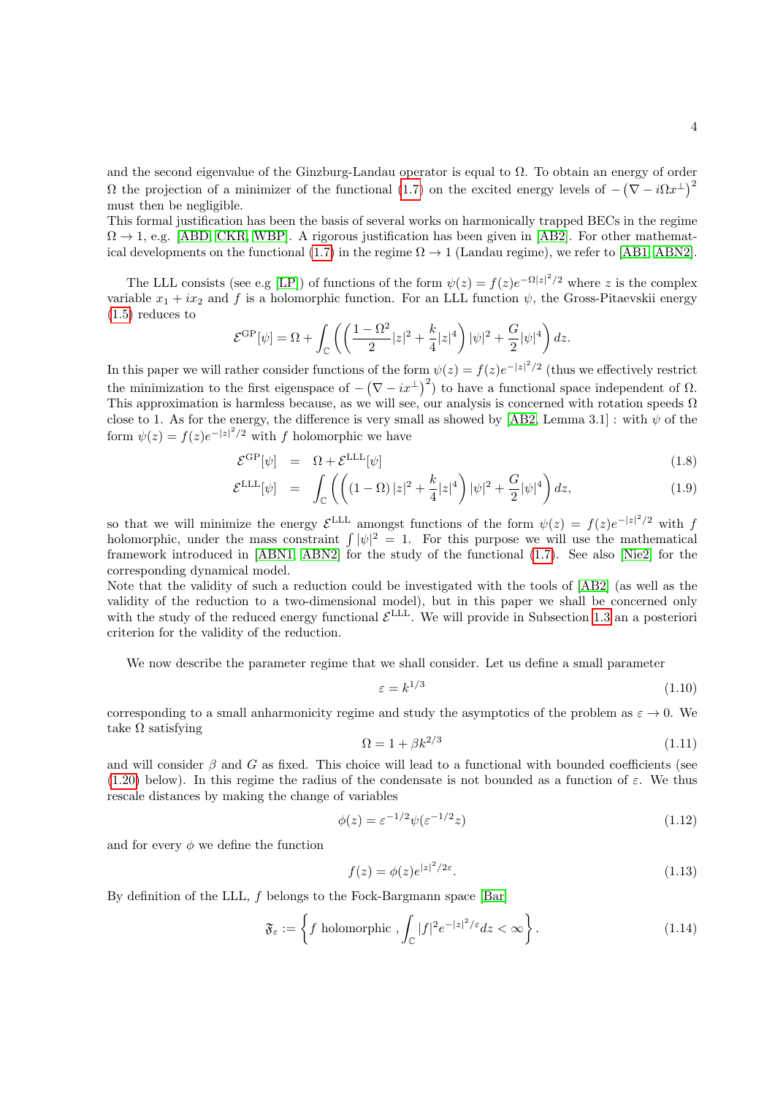and the second eigenvalue of the Ginzburg-Landau operator is equal to Ω. To obtain an energy of order Ω the projection of a minimizer of the functional [\(1.7\)](#page-2-1) on the excited energy levels of  $-(\nabla - i\Omega x^{\perp})^2$ must then be negligible.

This formal justification has been the basis of several works on harmonically trapped BECs in the regime  $\Omega \to 1$ , e.g. [\[ABD,](#page-18-4) [CKR,](#page-18-7) [WBP\]](#page-20-3). A rigorous justification has been given in [\[AB2\]](#page-18-8). For other mathemat-ical developments on the functional [\(1.7\)](#page-2-1) in the regime  $\Omega \to 1$  (Landau regime), we refer to [\[AB1,](#page-18-9) [ABN2\]](#page-18-10).

The LLL consists (see e.g [\[LP\]](#page-19-11)) of functions of the form  $\psi(z) = f(z)e^{-\Omega |z|^2/2}$  where z is the complex variable  $x_1 + ix_2$  and f is a holomorphic function. For an LLL function  $\psi$ , the Gross-Pitaevskii energy [\(1.5\)](#page-2-2) reduces to

$$
\mathcal{E}^{\rm GP}[\psi] = \Omega + \int_{\mathbb{C}} \left( \left( \frac{1 - \Omega^2}{2} |z|^2 + \frac{k}{4} |z|^4 \right) |\psi|^2 + \frac{G}{2} |\psi|^4 \right) dz.
$$

In this paper we will rather consider functions of the form  $\psi(z) = f(z)e^{-|z|^2/2}$  (thus we effectively restrict the minimization to the first eigenspace of  $-(\nabla - ix^{\perp})^2$  to have a functional space independent of  $\Omega$ . This approximation is harmless because, as we will see, our analysis is concerned with rotation speeds  $\Omega$ close to 1. As for the energy, the difference is very small as showed by [\[AB2,](#page-18-8) Lemma 3.1] : with  $\psi$  of the form  $\psi(z) = f(z)e^{-|z|^2/2}$  with f holomorphic we have

$$
\mathcal{E}^{\rm GP}[\psi] = \Omega + \mathcal{E}^{\rm LLL}[\psi] \tag{1.8}
$$

$$
\mathcal{E}^{\text{LLL}}[\psi] = \int_{\mathbb{C}} \left( \left( (1 - \Omega) |z|^2 + \frac{k}{4} |z|^4 \right) |\psi|^2 + \frac{G}{2} |\psi|^4 \right) dz, \tag{1.9}
$$

so that we will minimize the energy  $\mathcal{E}^{\text{LLL}}$  amongst functions of the form  $\psi(z) = f(z)e^{-|z|^2/2}$  with f holomorphic, under the mass constraint  $\int |\psi|^2 = 1$ . For this purpose we will use the mathematical framework introduced in [\[ABN1,](#page-18-11) [ABN2\]](#page-18-10) for the study of the functional [\(1.7\)](#page-2-1). See also [\[Nie2\]](#page-19-12) for the corresponding dynamical model.

Note that the validity of such a reduction could be investigated with the tools of [\[AB2\]](#page-18-8) (as well as the validity of the reduction to a two-dimensional model), but in this paper we shall be concerned only with the study of the reduced energy functional  $\mathcal{E}^{LLL}$ . We will provide in Subsection [1.3](#page-7-0) an a posteriori criterion for the validity of the reduction.

<span id="page-3-2"></span>We now describe the parameter regime that we shall consider. Let us define a small parameter

$$
\varepsilon = k^{1/3} \tag{1.10}
$$

corresponding to a small anharmonicity regime and study the asymptotics of the problem as  $\varepsilon \to 0$ . We take  $\Omega$  satisfying

<span id="page-3-0"></span>
$$
\Omega = 1 + \beta k^{2/3} \tag{1.11}
$$

and will consider  $\beta$  and G as fixed. This choice will lead to a functional with bounded coefficients (see [\(1.20\)](#page-4-1) below). In this regime the radius of the condensate is not bounded as a function of  $\varepsilon$ . We thus rescale distances by making the change of variables

<span id="page-3-1"></span>
$$
\phi(z) = \varepsilon^{-1/2} \psi(\varepsilon^{-1/2} z) \tag{1.12}
$$

and for every  $\phi$  we define the function

$$
f(z) = \phi(z)e^{|z|^2/2\varepsilon}.\tag{1.13}
$$

By definition of the LLL, f belongs to the Fock-Bargmann space [\[Bar\]](#page-18-12)

$$
\mathfrak{F}_{\varepsilon} := \left\{ f \text{ holomorphic }, \int_{\mathbb{C}} |f|^2 e^{-|z|^2/\varepsilon} dz < \infty \right\}.
$$
\n(1.14)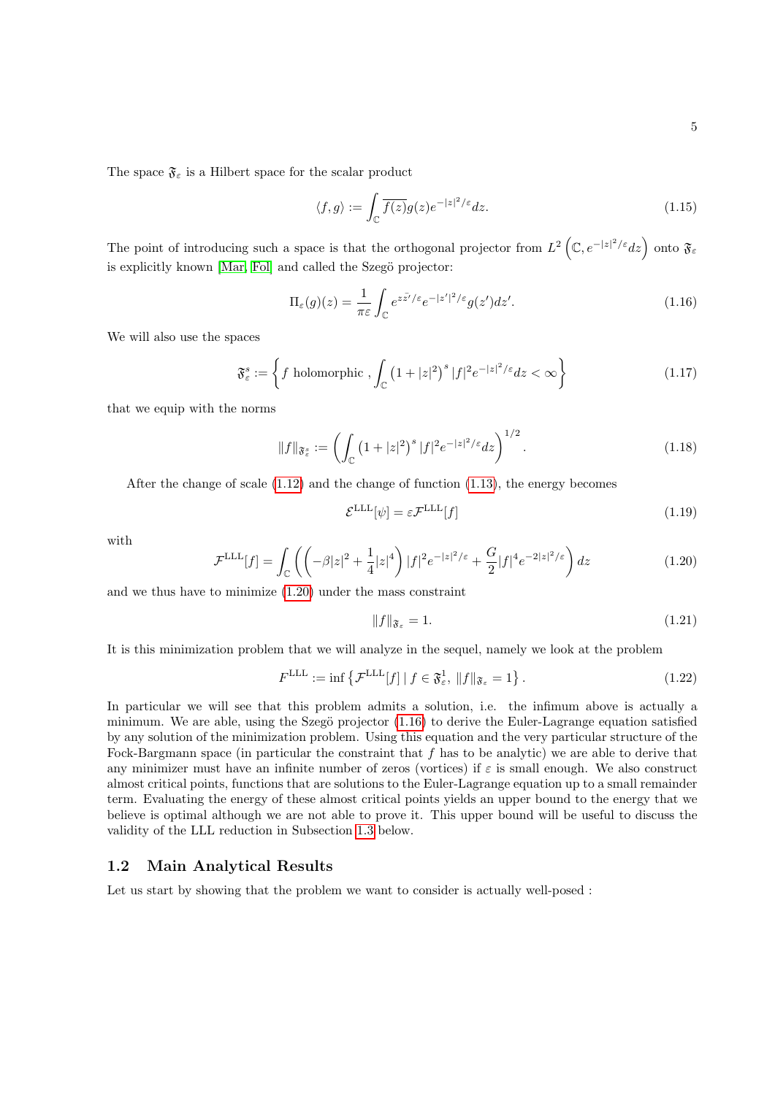The space  $\mathfrak{F}_{\varepsilon}$  is a Hilbert space for the scalar product

<span id="page-4-2"></span>
$$
\langle f, g \rangle := \int_{\mathbb{C}} \overline{f(z)} g(z) e^{-|z|^2/\varepsilon} dz.
$$
 (1.15)

The point of introducing such a space is that the orthogonal projector from  $L^2(\mathbb{C}, e^{-|z|^2/\varepsilon}dz)$  onto  $\mathfrak{F}_{\varepsilon}$ is explicitly known [\[Mar,](#page-19-13) [Fol\]](#page-19-14) and called the Szegö projector:

$$
\Pi_{\varepsilon}(g)(z) = \frac{1}{\pi \varepsilon} \int_{\mathbb{C}} e^{z \bar{z}'/\varepsilon} e^{-|z'|^2/\varepsilon} g(z') dz'. \tag{1.16}
$$

We will also use the spaces

$$
\mathfrak{F}_{\varepsilon}^{s} := \left\{ f \text{ holomorphic }, \int_{\mathbb{C}} \left( 1 + |z|^2 \right)^s |f|^2 e^{-|z|^2/\varepsilon} dz < \infty \right\}
$$
\n(1.17)

that we equip with the norms

$$
||f||_{\mathfrak{F}_{\varepsilon}^{s}} := \left(\int_{\mathbb{C}} \left(1 + |z|^2\right)^s |f|^2 e^{-|z|^2/\varepsilon} dz\right)^{1/2}.
$$
 (1.18)

After the change of scale [\(1.12\)](#page-3-0) and the change of function [\(1.13\)](#page-3-1), the energy becomes

$$
\mathcal{E}^{\text{LLL}}[\psi] = \varepsilon \mathcal{F}^{\text{LLL}}[f] \tag{1.19}
$$

<span id="page-4-1"></span>with

$$
\mathcal{F}^{\text{LLL}}[f] = \int_{\mathbb{C}} \left( \left( -\beta |z|^2 + \frac{1}{4}|z|^4 \right) |f|^2 e^{-|z|^2/\varepsilon} + \frac{G}{2} |f|^4 e^{-2|z|^2/\varepsilon} \right) dz \tag{1.20}
$$

and we thus have to minimize [\(1.20\)](#page-4-1) under the mass constraint

<span id="page-4-3"></span>
$$
||f||_{\mathfrak{F}_{\varepsilon}} = 1. \tag{1.21}
$$

It is this minimization problem that we will analyze in the sequel, namely we look at the problem

$$
F^{\text{LLL}} := \inf \left\{ \mathcal{F}^{\text{LLL}}[f] \, | \, f \in \mathfrak{F}_{\varepsilon}^1, \|f\|_{\mathfrak{F}_{\varepsilon}} = 1 \right\}. \tag{1.22}
$$

In particular we will see that this problem admits a solution, i.e. the infimum above is actually a minimum. We are able, using the Szegö projector  $(1.16)$  to derive the Euler-Lagrange equation satisfied by any solution of the minimization problem. Using this equation and the very particular structure of the Fock-Bargmann space (in particular the constraint that  $f$  has to be analytic) we are able to derive that any minimizer must have an infinite number of zeros (vortices) if  $\varepsilon$  is small enough. We also construct almost critical points, functions that are solutions to the Euler-Lagrange equation up to a small remainder term. Evaluating the energy of these almost critical points yields an upper bound to the energy that we believe is optimal although we are not able to prove it. This upper bound will be useful to discuss the validity of the LLL reduction in Subsection [1.3](#page-7-0) below.

### <span id="page-4-0"></span>1.2 Main Analytical Results

<span id="page-4-4"></span>Let us start by showing that the problem we want to consider is actually well-posed :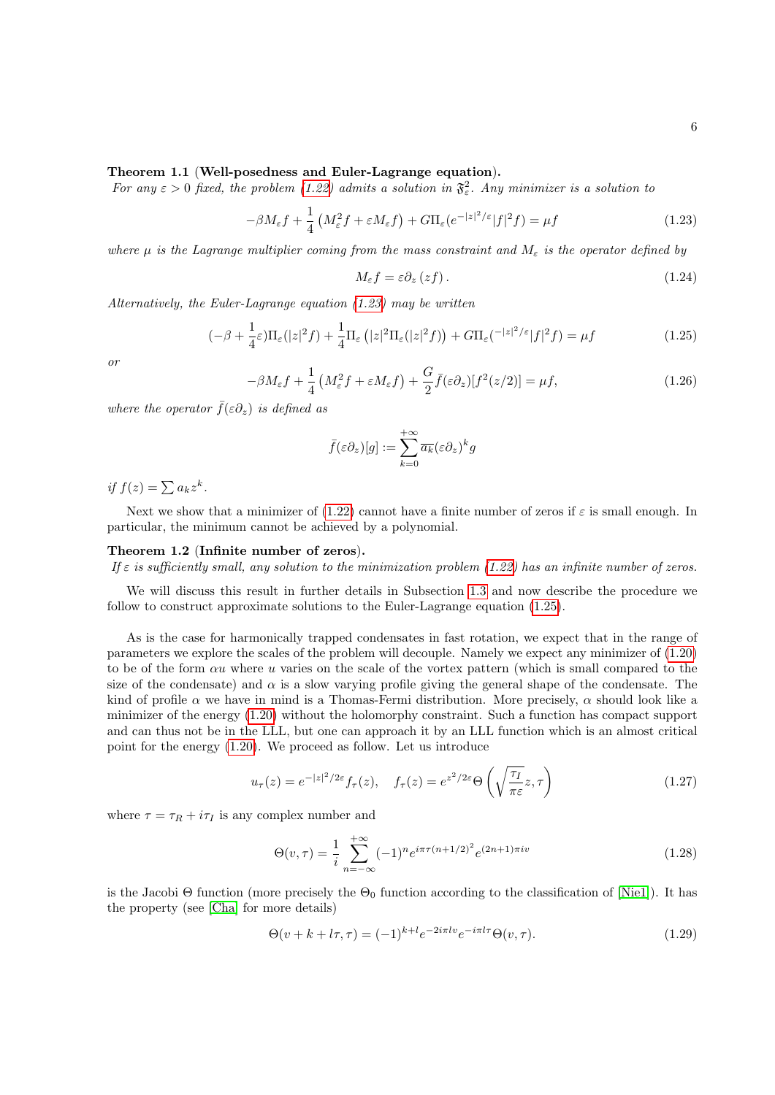### Theorem 1.1 (Well-posedness and Euler-Lagrange equation).

For any  $\varepsilon > 0$  fixed, the problem [\(1.22\)](#page-4-3) admits a solution in  $\mathfrak{F}^2_{\varepsilon}$ . Any minimizer is a solution to

$$
-\beta M_{\varepsilon} f + \frac{1}{4} \left( M_{\varepsilon}^2 f + \varepsilon M_{\varepsilon} f \right) + G \Pi_{\varepsilon} (e^{-|z|^2/\varepsilon} |f|^2 f) = \mu f \tag{1.23}
$$

where  $\mu$  is the Lagrange multiplier coming from the mass constraint and  $M_{\varepsilon}$  is the operator defined by

<span id="page-5-5"></span><span id="page-5-1"></span><span id="page-5-0"></span>
$$
M_{\varepsilon}f = \varepsilon \partial_z (zf). \tag{1.24}
$$

Alternatively, the Euler-Lagrange equation [\(1.23\)](#page-5-0) may be written

$$
(-\beta + \frac{1}{4}\varepsilon)\Pi_{\varepsilon}(|z|^2 f) + \frac{1}{4}\Pi_{\varepsilon}\left(|z|^2 \Pi_{\varepsilon}(|z|^2 f)\right) + G\Pi_{\varepsilon}(-|z|^2/\varepsilon|f|^2 f) = \mu f \tag{1.25}
$$

<span id="page-5-4"></span>or

$$
-\beta M_{\varepsilon}f + \frac{1}{4}\left(M_{\varepsilon}^2f + \varepsilon M_{\varepsilon}f\right) + \frac{G}{2}\bar{f}(\varepsilon \partial_z)[f^2(z/2)] = \mu f,\tag{1.26}
$$

where the operator  $\bar{f}(\varepsilon \partial_{z})$  is defined as

$$
\bar{f}(\varepsilon \partial_z)[g] := \sum_{k=0}^{+\infty} \overline{a_k}(\varepsilon \partial_z)^k g
$$

if  $f(z) = \sum a_k z^k$ .

Next we show that a minimizer of [\(1.22\)](#page-4-3) cannot have a finite number of zeros if  $\varepsilon$  is small enough. In particular, the minimum cannot be achieved by a polynomial.

#### <span id="page-5-2"></span>Theorem 1.2 (Infinite number of zeros).

If  $\varepsilon$  is sufficiently small, any solution to the minimization problem [\(1.22\)](#page-4-3) has an infinite number of zeros.

We will discuss this result in further details in Subsection [1.3](#page-7-0) and now describe the procedure we follow to construct approximate solutions to the Euler-Lagrange equation [\(1.25\)](#page-5-1).

As is the case for harmonically trapped condensates in fast rotation, we expect that in the range of parameters we explore the scales of the problem will decouple. Namely we expect any minimizer of [\(1.20\)](#page-4-1) to be of the form  $\alpha u$  where u varies on the scale of the vortex pattern (which is small compared to the size of the condensate) and  $\alpha$  is a slow varying profile giving the general shape of the condensate. The kind of profile  $\alpha$  we have in mind is a Thomas-Fermi distribution. More precisely,  $\alpha$  should look like a minimizer of the energy [\(1.20\)](#page-4-1) without the holomorphy constraint. Such a function has compact support and can thus not be in the LLL, but one can approach it by an LLL function which is an almost critical point for the energy [\(1.20\)](#page-4-1). We proceed as follow. Let us introduce

$$
u_{\tau}(z) = e^{-|z|^2/2\varepsilon} f_{\tau}(z), \quad f_{\tau}(z) = e^{z^2/2\varepsilon} \Theta\left(\sqrt{\frac{\tau_I}{\pi \varepsilon}} z, \tau\right)
$$
(1.27)

where  $\tau = \tau_R + i\tau_I$  is any complex number and

<span id="page-5-3"></span>
$$
\Theta(v,\tau) = \frac{1}{i} \sum_{n=-\infty}^{+\infty} (-1)^n e^{i\pi \tau (n+1/2)^2} e^{(2n+1)\pi iv}
$$
\n(1.28)

is the Jacobi Θ function (more precisely the  $\Theta_0$  function according to the classification of [\[Nie1\]](#page-19-15)). It has the property (see [\[Cha\]](#page-18-13) for more details)

$$
\Theta(v + k + l\tau, \tau) = (-1)^{k+l} e^{-2i\pi l v} e^{-i\pi l \tau} \Theta(v, \tau).
$$
\n(1.29)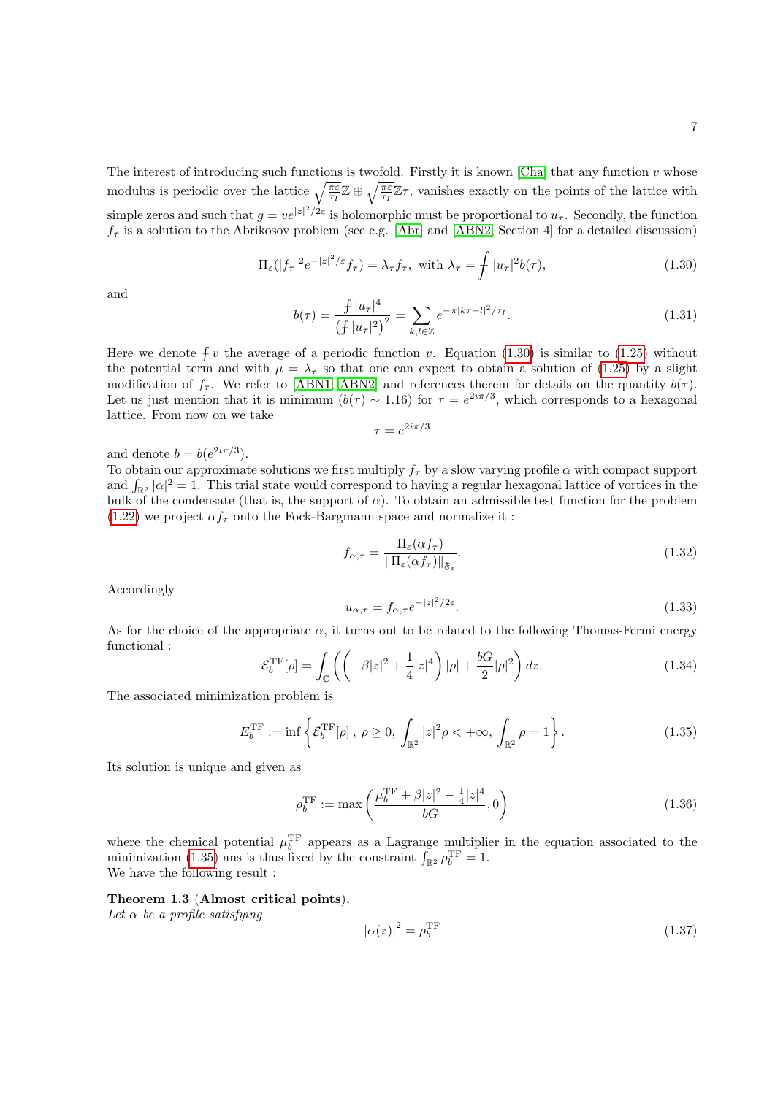The interest of introducing such functions is twofold. Firstly it is known [\[Cha\]](#page-18-13) that any function  $v$  whose modulus is periodic over the lattice  $\sqrt{\frac{\pi \varepsilon}{\tau_I}} \mathbb{Z} \oplus \sqrt{\frac{\pi \varepsilon}{\tau_I}} \mathbb{Z} \tau$ , vanishes exactly on the points of the lattice with simple zeros and such that  $g = v e^{|z|^2/2\varepsilon}$  is holomorphic must be proportional to  $u_{\tau}$ . Secondly, the function  $f_{\tau}$  is a solution to the Abrikosov problem (see e.g. [\[Abr\]](#page-18-1) and [\[ABN2,](#page-18-10) Section 4] for a detailed discussion)

$$
\Pi_{\varepsilon}(|f_{\tau}|^{2}e^{-|z|^{2}/\varepsilon}f_{\tau}) = \lambda_{\tau}f_{\tau}, \text{ with } \lambda_{\tau} = \int |u_{\tau}|^{2}b(\tau), \tag{1.30}
$$

<span id="page-6-4"></span><span id="page-6-0"></span>and

$$
b(\tau) = \frac{f |u_{\tau}|^4}{(f |u_{\tau}|^2)^2} = \sum_{k,l \in \mathbb{Z}} e^{-\pi |k\tau - l|^2 / \tau_I}.
$$
 (1.31)

Here we denote  $\oint v$  the average of a periodic function v. Equation [\(1.30\)](#page-6-0) is similar to [\(1.25\)](#page-5-1) without the potential term and with  $\mu = \lambda_{\tau}$  so that one can expect to obtain a solution of [\(1.25\)](#page-5-1) by a slight modification of  $f_{\tau}$ . We refer to [\[ABN1,](#page-18-11) [ABN2\]](#page-18-10) and references therein for details on the quantity  $b(\tau)$ . Let us just mention that it is minimum  $(b(\tau) \sim 1.16)$  for  $\tau = e^{2i\pi/3}$ , which corresponds to a hexagonal lattice. From now on we take

<span id="page-6-2"></span>
$$
\tau = e^{2i\pi/3}
$$

and denote  $b = b(e^{2i\pi/3})$ .

To obtain our approximate solutions we first multiply  $f_\tau$  by a slow varying profile  $\alpha$  with compact support and  $\int_{\mathbb{R}^2} |\alpha|^2 = 1$ . This trial state would correspond to having a regular hexagonal lattice of vortices in the bulk of the condensate (that is, the support of  $\alpha$ ). To obtain an admissible test function for the problem  $(1.22)$  we project  $\alpha f_{\tau}$  onto the Fock-Bargmann space and normalize it:

$$
f_{\alpha,\tau} = \frac{\Pi_{\varepsilon}(\alpha f_{\tau})}{\|\Pi_{\varepsilon}(\alpha f_{\tau})\|_{\mathfrak{F}_{\varepsilon}}}.
$$
\n(1.32)

Accordingly

$$
u_{\alpha,\tau} = f_{\alpha,\tau} e^{-|z|^2/2\varepsilon}.\tag{1.33}
$$

As for the choice of the appropriate  $\alpha$ , it turns out to be related to the following Thomas-Fermi energy functional :

<span id="page-6-1"></span>
$$
\mathcal{E}_b^{\rm TF}[\rho] = \int_{\mathbb{C}} \left( \left( -\beta |z|^2 + \frac{1}{4} |z|^4 \right) |\rho| + \frac{bG}{2} |\rho|^2 \right) dz. \tag{1.34}
$$

The associated minimization problem is

$$
E_b^{\rm TF} := \inf \left\{ \mathcal{E}_b^{\rm TF}[\rho] \, , \, \rho \ge 0, \, \int_{\mathbb{R}^2} |z|^2 \rho < +\infty, \, \int_{\mathbb{R}^2} \rho = 1 \right\}. \tag{1.35}
$$

Its solution is unique and given as

<span id="page-6-6"></span>
$$
\rho_b^{\rm TF} := \max\left(\frac{\mu_b^{\rm TF} + \beta |z|^2 - \frac{1}{4}|z|^4}{bG}, 0\right) \tag{1.36}
$$

where the chemical potential  $\mu_b^{\text{TF}}$  appears as a Lagrange multiplier in the equation associated to the minimization [\(1.35\)](#page-6-1) ans is thus fixed by the constraint  $\int_{\mathbb{R}^2} \rho_b^{\rm TF} = 1$ . We have the following result :

#### <span id="page-6-3"></span>Theorem 1.3 (Almost critical points).

Let  $\alpha$  be a profile satisfying

<span id="page-6-5"></span>
$$
|\alpha(z)|^2 = \rho_b^{\rm TF} \tag{1.37}
$$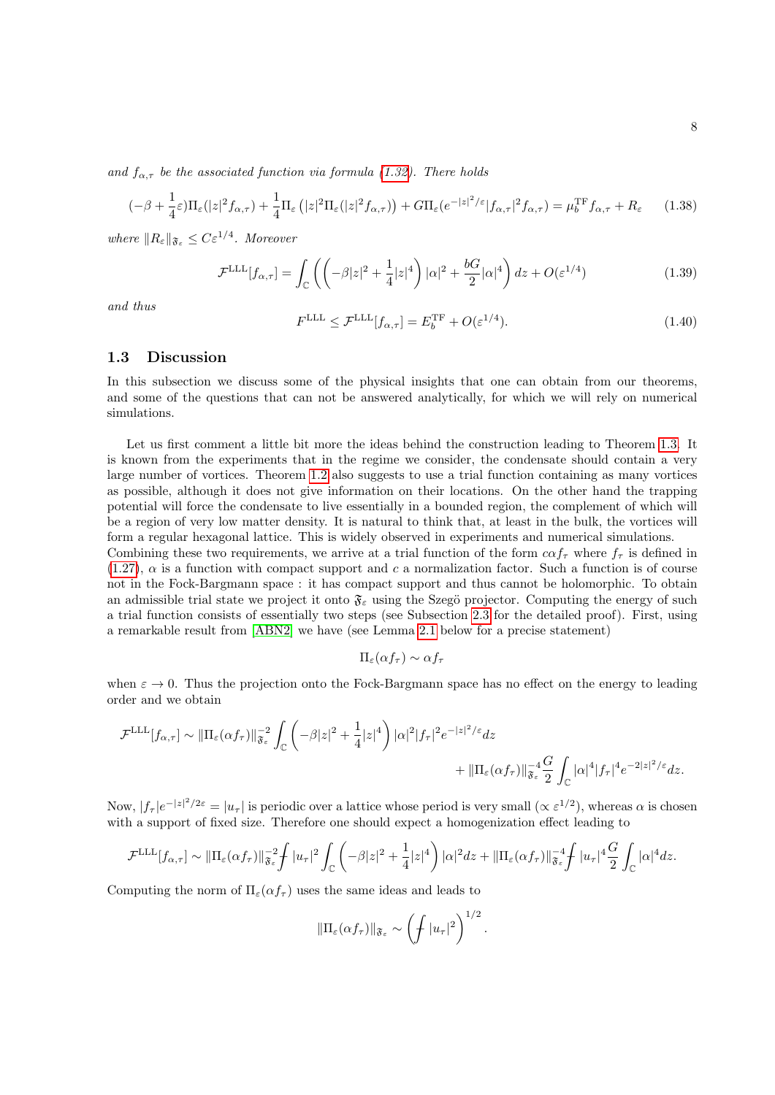and  $f_{\alpha,\tau}$  be the associated function via formula [\(1.32\)](#page-6-2). There holds

$$
(-\beta + \frac{1}{4}\varepsilon)\Pi_{\varepsilon}(|z|^2 f_{\alpha,\tau}) + \frac{1}{4}\Pi_{\varepsilon}(|z|^2 \Pi_{\varepsilon}(|z|^2 f_{\alpha,\tau})) + G\Pi_{\varepsilon}(e^{-|z|^2/\varepsilon}|f_{\alpha,\tau}|^2 f_{\alpha,\tau}) = \mu_b^{\text{TF}} f_{\alpha,\tau} + R_{\varepsilon}
$$
(1.38)

where  $||R_{\varepsilon}||_{\mathfrak{F}_{\varepsilon}} \leq C\varepsilon^{1/4}$ . Moreover

$$
\mathcal{F}^{\text{LLL}}[f_{\alpha,\tau}] = \int_{\mathbb{C}} \left( \left( -\beta |z|^2 + \frac{1}{4} |z|^4 \right) |\alpha|^2 + \frac{bG}{2} |\alpha|^4 \right) dz + O(\varepsilon^{1/4}) \tag{1.39}
$$

<span id="page-7-1"></span>and thus

<span id="page-7-3"></span><span id="page-7-2"></span>
$$
F^{\text{LLL}} \leq \mathcal{F}^{\text{LLL}}[f_{\alpha,\tau}] = E_b^{\text{TF}} + O(\varepsilon^{1/4}).\tag{1.40}
$$

### <span id="page-7-0"></span>1.3 Discussion

In this subsection we discuss some of the physical insights that one can obtain from our theorems, and some of the questions that can not be answered analytically, for which we will rely on numerical simulations.

Let us first comment a little bit more the ideas behind the construction leading to Theorem [1.3.](#page-6-3) It is known from the experiments that in the regime we consider, the condensate should contain a very large number of vortices. Theorem [1.2](#page-5-2) also suggests to use a trial function containing as many vortices as possible, although it does not give information on their locations. On the other hand the trapping potential will force the condensate to live essentially in a bounded region, the complement of which will be a region of very low matter density. It is natural to think that, at least in the bulk, the vortices will form a regular hexagonal lattice. This is widely observed in experiments and numerical simulations.

Combining these two requirements, we arrive at a trial function of the form  $c\alpha f_\tau$  where  $f_\tau$  is defined in  $(1.27)$ ,  $\alpha$  is a function with compact support and c a normalization factor. Such a function is of course not in the Fock-Bargmann space : it has compact support and thus cannot be holomorphic. To obtain an admissible trial state we project it onto  $\mathfrak{F}_{\varepsilon}$  using the Szegö projector. Computing the energy of such a trial function consists of essentially two steps (see Subsection [2.3](#page-12-0) for the detailed proof). First, using a remarkable result from [\[ABN2\]](#page-18-10) we have (see Lemma [2.1](#page-12-1) below for a precise statement)

$$
\Pi_{\varepsilon}(\alpha f_{\tau}) \sim \alpha f_{\tau}
$$

when  $\varepsilon \to 0$ . Thus the projection onto the Fock-Bargmann space has no effect on the energy to leading order and we obtain

$$
\mathcal{F}^{\text{LLL}}[f_{\alpha,\tau}] \sim ||\Pi_{\varepsilon}(\alpha f_{\tau})||_{\mathfrak{F}_{\varepsilon}}^{-2} \int_{\mathbb{C}} \left( -\beta |z|^2 + \frac{1}{4}|z|^4 \right) |\alpha|^2 |f_{\tau}|^2 e^{-|z|^2/\varepsilon} dz + ||\Pi_{\varepsilon}(\alpha f_{\tau})||_{\mathfrak{F}_{\varepsilon}}^{-4} \frac{G}{2} \int_{\mathbb{C}} |\alpha|^4 |f_{\tau}|^4 e^{-2|z|^2/\varepsilon} dz.
$$

Now,  $|f_{\tau}|e^{-|z|^2/2\varepsilon} = |u_{\tau}|$  is periodic over a lattice whose period is very small  $(\propto \varepsilon^{1/2})$ , whereas  $\alpha$  is chosen with a support of fixed size. Therefore one should expect a homogenization effect leading to

$$
\mathcal{F}^{\text{LLL}}[f_{\alpha,\tau}] \sim \|\Pi_{\varepsilon}(\alpha f_{\tau})\|_{\mathfrak{F}_{\varepsilon}}^{-2} \int |u_{\tau}|^2 \int_{\mathbb{C}} \left( -\beta |z|^2 + \frac{1}{4}|z|^4 \right) |\alpha|^2 dz + \|\Pi_{\varepsilon}(\alpha f_{\tau})\|_{\mathfrak{F}_{\varepsilon}}^{-4} \int |u_{\tau}|^4 \frac{G}{2} \int_{\mathbb{C}} |\alpha|^4 dz.
$$

Computing the norm of  $\Pi_{\varepsilon}(\alpha f_{\tau})$  uses the same ideas and leads to

$$
\|\Pi_{\varepsilon}(\alpha f_{\tau})\|_{\mathfrak{F}_{\varepsilon}} \sim \left(\int |u_{\tau}|^2\right)^{1/2}.
$$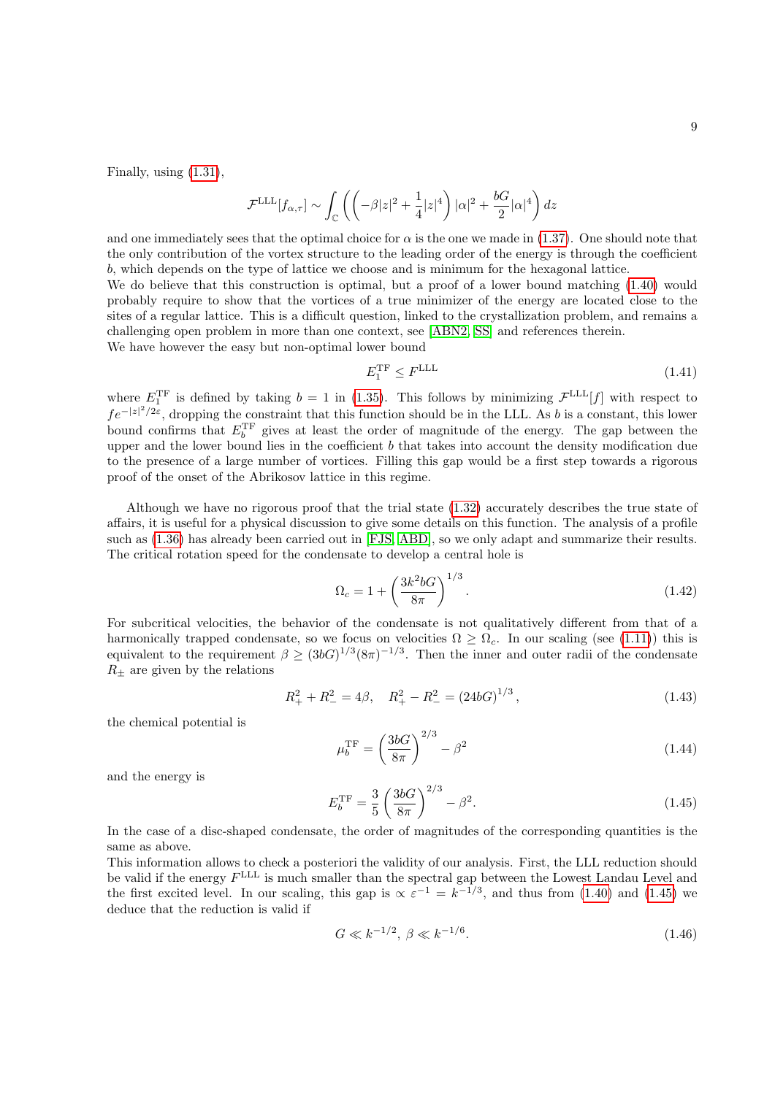Finally, using [\(1.31\)](#page-6-4),

$$
\mathcal{F}^{\text{LLL}}[f_{\alpha,\tau}] \sim \int_{\mathbb{C}} \left( \left( -\beta |z|^2 + \frac{1}{4}|z|^4 \right) |\alpha|^2 + \frac{bG}{2} |\alpha|^4 \right) dz
$$

and one immediately sees that the optimal choice for  $\alpha$  is the one we made in [\(1.37\)](#page-6-5). One should note that the only contribution of the vortex structure to the leading order of the energy is through the coefficient b, which depends on the type of lattice we choose and is minimum for the hexagonal lattice.

We do believe that this construction is optimal, but a proof of a lower bound matching  $(1.40)$  would probably require to show that the vortices of a true minimizer of the energy are located close to the sites of a regular lattice. This is a difficult question, linked to the crystallization problem, and remains a challenging open problem in more than one context, see [\[ABN2,](#page-18-10) [SS\]](#page-20-4) and references therein. We have however the easy but non-optimal lower bound

<span id="page-8-2"></span>
$$
E_1^{\rm TF} \le F^{\rm LLL} \tag{1.41}
$$

where  $E_1^{\text{TF}}$  is defined by taking  $b = 1$  in [\(1.35\)](#page-6-1). This follows by minimizing  $\mathcal{F}^{\text{LLL}}[f]$  with respect to  $fe^{-|z|^2/2\varepsilon}$ , dropping the constraint that this function should be in the LLL. As b is a constant, this lower bound confirms that  $E_b^{\text{TF}}$  gives at least the order of magnitude of the energy. The gap between the upper and the lower bound lies in the coefficient  $b$  that takes into account the density modification due to the presence of a large number of vortices. Filling this gap would be a first step towards a rigorous proof of the onset of the Abrikosov lattice in this regime.

Although we have no rigorous proof that the trial state [\(1.32\)](#page-6-2) accurately describes the true state of affairs, it is useful for a physical discussion to give some details on this function. The analysis of a profile such as [\(1.36\)](#page-6-6) has already been carried out in [\[FJS,](#page-19-5) [ABD\]](#page-18-4), so we only adapt and summarize their results. The critical rotation speed for the condensate to develop a central hole is

$$
\Omega_c = 1 + \left(\frac{3k^2 b G}{8\pi}\right)^{1/3}.\tag{1.42}
$$

For subcritical velocities, the behavior of the condensate is not qualitatively different from that of a harmonically trapped condensate, so we focus on velocities  $\Omega > \Omega_c$ . In our scaling (see [\(1.11\)](#page-3-2)) this is equivalent to the requirement  $\beta \geq (3bG)^{1/3}(8\pi)^{-1/3}$ . Then the inner and outer radii of the condensate  $R_{\pm}$  are given by the relations

<span id="page-8-1"></span>
$$
R_{+}^{2} + R_{-}^{2} = 4\beta, \quad R_{+}^{2} - R_{-}^{2} = (24bG)^{1/3}, \tag{1.43}
$$

the chemical potential is

$$
\mu_b^{\rm TF} = \left(\frac{3bG}{8\pi}\right)^{2/3} - \beta^2 \tag{1.44}
$$

<span id="page-8-0"></span>and the energy is

$$
E_b^{\rm TF} = \frac{3}{5} \left( \frac{3bG}{8\pi} \right)^{2/3} - \beta^2.
$$
 (1.45)

In the case of a disc-shaped condensate, the order of magnitudes of the corresponding quantities is the same as above.

This information allows to check a posteriori the validity of our analysis. First, the LLL reduction should be valid if the energy  $F^{\text{LLL}}$  is much smaller than the spectral gap between the Lowest Landau Level and the first excited level. In our scaling, this gap is  $\alpha \varepsilon^{-1} = k^{-1/3}$ , and thus from [\(1.40\)](#page-7-1) and [\(1.45\)](#page-8-0) we deduce that the reduction is valid if

$$
G \ll k^{-1/2}, \ \beta \ll k^{-1/6}.\tag{1.46}
$$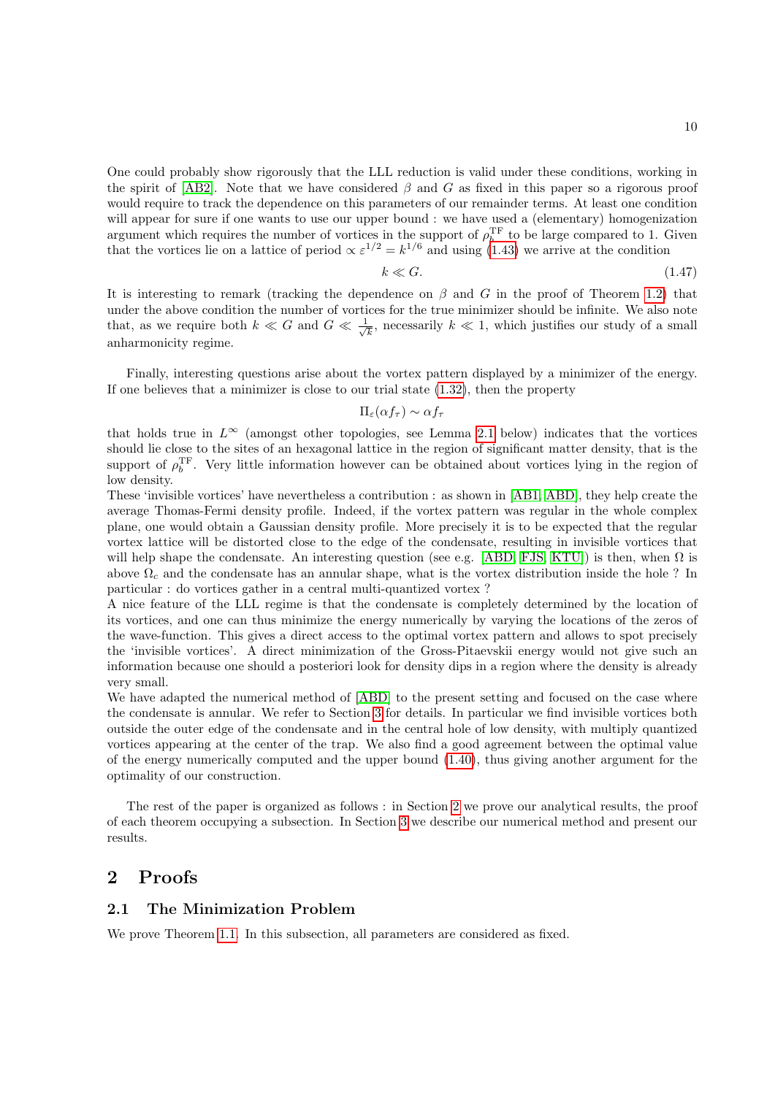One could probably show rigorously that the LLL reduction is valid under these conditions, working in the spirit of [\[AB2\]](#page-18-8). Note that we have considered  $\beta$  and G as fixed in this paper so a rigorous proof would require to track the dependence on this parameters of our remainder terms. At least one condition will appear for sure if one wants to use our upper bound : we have used a (elementary) homogenization argument which requires the number of vortices in the support of  $\rho_b^{\text{TF}}$  to be large compared to 1. Given that the vortices lie on a lattice of period  $\propto \varepsilon^{1/2} = k^{1/6}$  and using [\(1.43\)](#page-8-1) we arrive at the condition

$$
k \ll G. \tag{1.47}
$$

It is interesting to remark (tracking the dependence on  $\beta$  and G in the proof of Theorem [1.2\)](#page-5-2) that under the above condition the number of vortices for the true minimizer should be infinite. We also note that, as we require both  $k \ll G$  and  $G \ll \frac{1}{4}$  $\frac{1}{k}$ , necessarily  $k \ll 1$ , which justifies our study of a small anharmonicity regime.

Finally, interesting questions arise about the vortex pattern displayed by a minimizer of the energy. If one believes that a minimizer is close to our trial state  $(1.32)$ , then the property

### $\Pi_{\varepsilon}(\alpha f_{\tau}) \sim \alpha f_{\tau}$

that holds true in  $L^{\infty}$  (amongst other topologies, see Lemma [2.1](#page-12-1) below) indicates that the vortices should lie close to the sites of an hexagonal lattice in the region of significant matter density, that is the support of  $\rho_b^{\text{TF}}$ . Very little information however can be obtained about vortices lying in the region of low density.

These 'invisible vortices' have nevertheless a contribution : as shown in [\[AB1,](#page-18-9) [ABD\]](#page-18-4), they help create the average Thomas-Fermi density profile. Indeed, if the vortex pattern was regular in the whole complex plane, one would obtain a Gaussian density profile. More precisely it is to be expected that the regular vortex lattice will be distorted close to the edge of the condensate, resulting in invisible vortices that will help shape the condensate. An interesting question (see e.g. [\[ABD,](#page-18-4) [FJS,](#page-19-5) [KTU\]](#page-19-9)) is then, when  $\Omega$  is above  $\Omega_c$  and the condensate has an annular shape, what is the vortex distribution inside the hole ? In particular : do vortices gather in a central multi-quantized vortex ?

A nice feature of the LLL regime is that the condensate is completely determined by the location of its vortices, and one can thus minimize the energy numerically by varying the locations of the zeros of the wave-function. This gives a direct access to the optimal vortex pattern and allows to spot precisely the 'invisible vortices'. A direct minimization of the Gross-Pitaevskii energy would not give such an information because one should a posteriori look for density dips in a region where the density is already very small.

We have adapted the numerical method of [\[ABD\]](#page-18-4) to the present setting and focused on the case where the condensate is annular. We refer to Section [3](#page-14-0) for details. In particular we find invisible vortices both outside the outer edge of the condensate and in the central hole of low density, with multiply quantized vortices appearing at the center of the trap. We also find a good agreement between the optimal value of the energy numerically computed and the upper bound [\(1.40\)](#page-7-1), thus giving another argument for the optimality of our construction.

The rest of the paper is organized as follows : in Section [2](#page-9-0) we prove our analytical results, the proof of each theorem occupying a subsection. In Section [3](#page-14-0) we describe our numerical method and present our results.

# <span id="page-9-0"></span>2 Proofs

### <span id="page-9-1"></span>2.1 The Minimization Problem

We prove Theorem [1.1.](#page-4-4) In this subsection, all parameters are considered as fixed.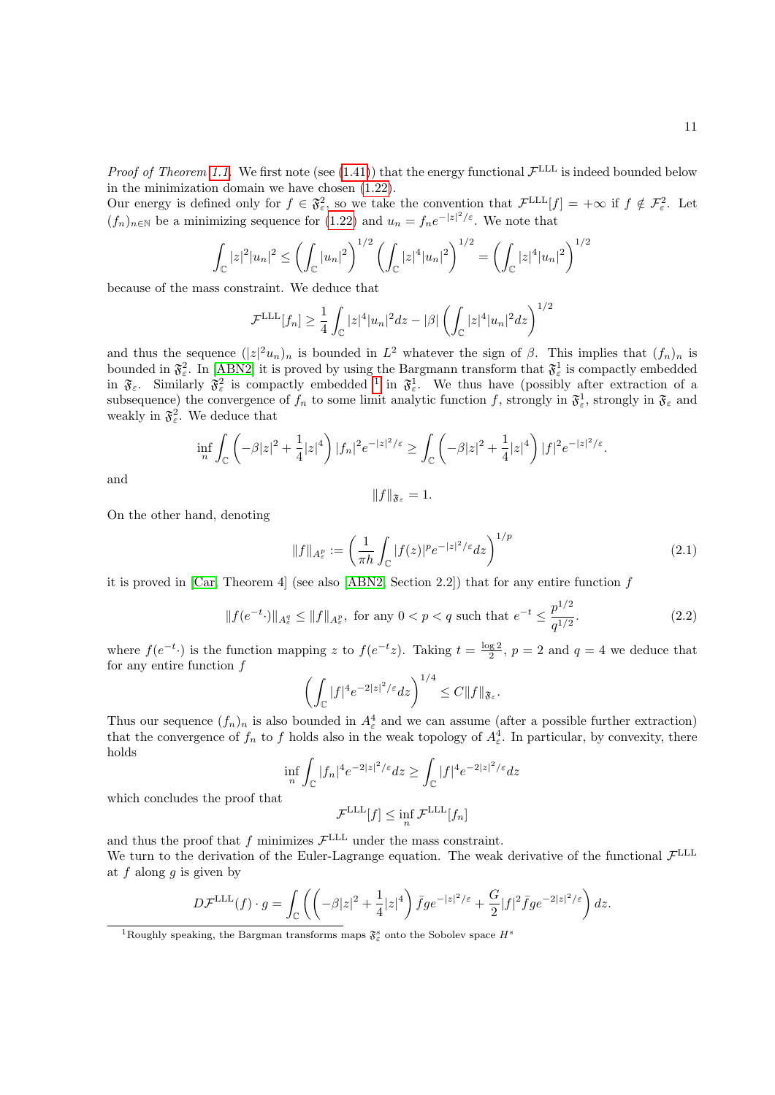*Proof of Theorem [1.1.](#page-4-4)* We first note (see [\(1.41\)](#page-8-2)) that the energy functional  $\mathcal{F}^{\text{LLL}}$  is indeed bounded below in the minimization domain we have chosen [\(1.22\)](#page-4-3).

Our energy is defined only for  $f \in \mathfrak{F}_{\varepsilon}^2$ , so we take the convention that  $\mathcal{F}^{\text{LLL}}[f] = +\infty$  if  $f \notin \mathcal{F}_{\varepsilon}^2$ . Let  $(f_n)_{n\in\mathbb{N}}$  be a minimizing sequence for  $(1.22)$  and  $u_n = f_n e^{-|z|^2/\varepsilon}$ . We note that

$$
\int_{\mathbb{C}} |z|^2 |u_n|^2 \le \left(\int_{\mathbb{C}} |u_n|^2\right)^{1/2} \left(\int_{\mathbb{C}} |z|^4 |u_n|^2\right)^{1/2} = \left(\int_{\mathbb{C}} |z|^4 |u_n|^2\right)^{1/2}
$$

because of the mass constraint. We deduce that

$$
\mathcal{F}^{\text{LLL}}[f_n] \ge \frac{1}{4} \int_{\mathbb{C}} |z|^4 |u_n|^2 dz - |\beta| \left( \int_{\mathbb{C}} |z|^4 |u_n|^2 dz \right)^{1/2}
$$

and thus the sequence  $(|z|^2 u_n)_n$  is bounded in  $L^2$  whatever the sign of  $\beta$ . This implies that  $(f_n)_n$  is bounded in  $\mathfrak{F}^2_{\varepsilon}$ . In [\[ABN2\]](#page-18-10) it is proved by using the Bargmann transform that  $\mathfrak{F}^1_{\varepsilon}$  is compactly embedded in  $\mathfrak{F}_{\varepsilon}$ . Similarly  $\mathfrak{F}_{\varepsilon}^2$  is compactly embedded <sup>[1](#page-10-0)</sup> in  $\mathfrak{F}_{\varepsilon}^1$ . We thus have (possibly after extraction of a subsequence) the convergence of  $f_n$  to some limit analytic function f, strongly in  $\mathfrak{F}_{\varepsilon}$ , strongly in  $\mathfrak{F}_{\varepsilon}$  and weakly in  $\mathfrak{F}^2_{\varepsilon}$ . We deduce that

$$
\inf_{n} \int_{\mathbb{C}} \left( -\beta |z|^2 + \frac{1}{4} |z|^4 \right) |f_n|^2 e^{-|z|^2/\varepsilon} \ge \int_{\mathbb{C}} \left( -\beta |z|^2 + \frac{1}{4} |z|^4 \right) |f|^2 e^{-|z|^2/\varepsilon}.
$$

and

$$
||f||_{\mathfrak{F}_{\varepsilon}}=1.
$$

On the other hand, denoting

$$
||f||_{A_{\varepsilon}^p} := \left(\frac{1}{\pi h} \int_{\mathbb{C}} |f(z)|^p e^{-|z|^2/\varepsilon} dz\right)^{1/p} \tag{2.1}
$$

 $1/2$ 

it is proved in [\[Car,](#page-18-14) Theorem 4] (see also [\[ABN2,](#page-18-10) Section 2.2]) that for any entire function  $f$ 

$$
||f(e^{-t}\cdot)||_{A_{\varepsilon}^{q}} \le ||f||_{A_{\varepsilon}^{p}}, \text{ for any } 0 < p < q \text{ such that } e^{-t} \le \frac{p^{1/2}}{q^{1/2}}.
$$
 (2.2)

where  $f(e^{-t})$  is the function mapping z to  $f(e^{-t}z)$ . Taking  $t = \frac{\log 2}{2}$ ,  $p = 2$  and  $q = 4$  we deduce that for any entire function  $f$ 

$$
\left(\int_{\mathbb{C}}|f|^4e^{-2|z|^2/\varepsilon}dz\right)^{1/4}\leq C\|f\|_{\mathfrak{F}_{\varepsilon}}.
$$

Thus our sequence  $(f_n)_n$  is also bounded in  $A_\varepsilon^4$  and we can assume (after a possible further extraction) that the convergence of  $f_n$  to f holds also in the weak topology of  $A_{\varepsilon}^4$ . In particular, by convexity, there holds

$$
\inf_{n} \int_{\mathbb{C}} |f_n|^4 e^{-2|z|^2/\varepsilon} dz \ge \int_{\mathbb{C}} |f|^4 e^{-2|z|^2/\varepsilon} dz
$$

which concludes the proof that

$$
\mathcal{F}^{\text{LLL}}[f] \le \inf_n \mathcal{F}^{\text{LLL}}[f_n]
$$

and thus the proof that f minimizes  $\mathcal{F}^{\text{LLL}}$  under the mass constraint. We turn to the derivation of the Euler-Lagrange equation. The weak derivative of the functional  $\mathcal{F}^{\text{LLL}}$ at  $f$  along  $g$  is given by

$$
D\mathcal{F}^{\text{LLL}}(f) \cdot g = \int_{\mathbb{C}} \left( \left( -\beta |z|^2 + \frac{1}{4}|z|^4 \right) \bar{f} g e^{-|z|^2/\varepsilon} + \frac{G}{2} |f|^2 \bar{f} g e^{-2|z|^2/\varepsilon} \right) dz.
$$

<span id="page-10-0"></span><sup>&</sup>lt;sup>1</sup>Roughly speaking, the Bargman transforms maps  $\mathfrak{F}^s_{\varepsilon}$  onto the Sobolev space  $H^s$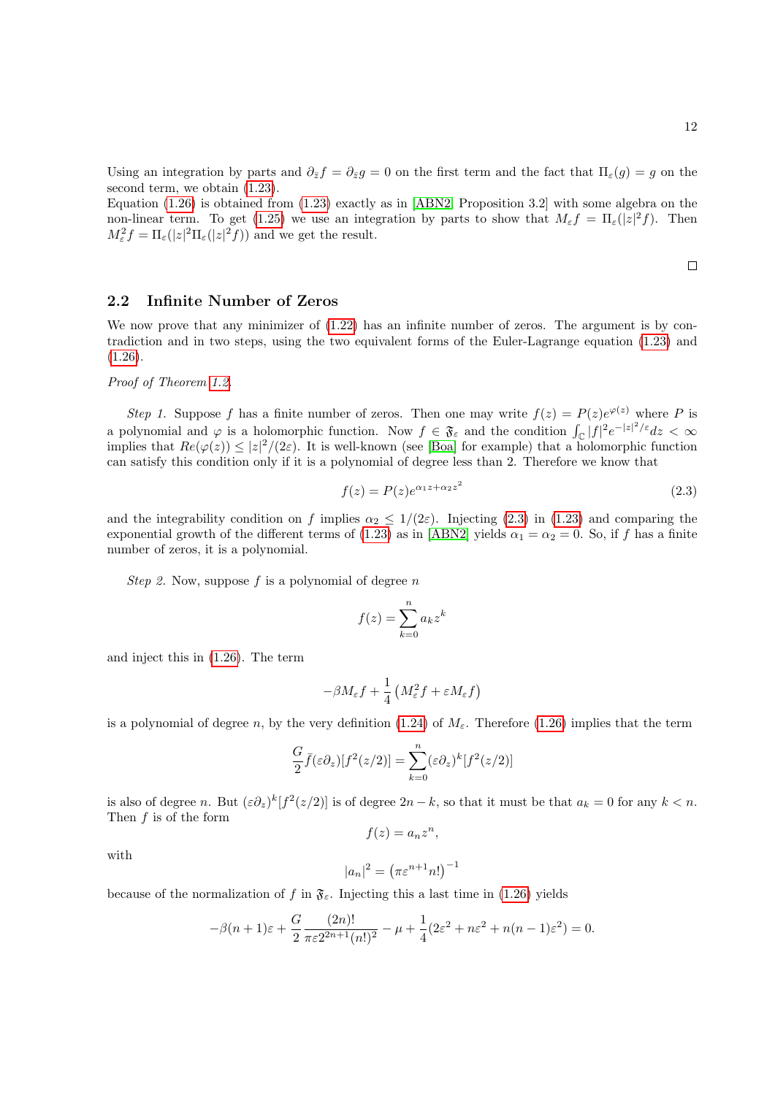Using an integration by parts and  $\partial_{\bar{z}}f = \partial_{\bar{z}}g = 0$  on the first term and the fact that  $\Pi_{\varepsilon}(g) = g$  on the second term, we obtain  $(1.23)$ .

Equation [\(1.26\)](#page-5-4) is obtained from [\(1.23\)](#page-5-0) exactly as in [\[ABN2,](#page-18-10) Proposition 3.2] with some algebra on the non-linear term. To get [\(1.25\)](#page-5-1) we use an integration by parts to show that  $M_{\varepsilon}f = \Pi_{\varepsilon}(|z|^2 f)$ . Then  $M_{\varepsilon}^2 f = \Pi_{\varepsilon}(|z|^2 \Pi_{\varepsilon}(|z|^2 f))$  and we get the result.

<span id="page-11-1"></span> $\Box$ 

12

# <span id="page-11-0"></span>2.2 Infinite Number of Zeros

We now prove that any minimizer of  $(1.22)$  has an infinite number of zeros. The argument is by contradiction and in two steps, using the two equivalent forms of the Euler-Lagrange equation [\(1.23\)](#page-5-0) and  $(1.26).$  $(1.26).$ 

### Proof of Theorem [1.2.](#page-5-2)

Step 1. Suppose f has a finite number of zeros. Then one may write  $f(z) = P(z)e^{\varphi(z)}$  where P is a polynomial and  $\varphi$  is a holomorphic function. Now  $f \in \mathfrak{F}_{\varepsilon}$  and the condition  $\int_{\mathbb{C}} |f|^2 e^{-|z|^2/\varepsilon} dz < \infty$ implies that  $Re(\varphi(z)) \leq |z|^2/(2\varepsilon)$ . It is well-known (see [\[Boa\]](#page-18-15) for example) that a holomorphic function can satisfy this condition only if it is a polynomial of degree less than 2. Therefore we know that

$$
f(z) = P(z)e^{\alpha_1 z + \alpha_2 z^2}
$$
\n
$$
(2.3)
$$

and the integrability condition on f implies  $\alpha_2 \leq 1/(2\varepsilon)$ . Injecting [\(2.3\)](#page-11-1) in [\(1.23\)](#page-5-0) and comparing the exponential growth of the different terms of [\(1.23\)](#page-5-0) as in [\[ABN2\]](#page-18-10) yields  $\alpha_1 = \alpha_2 = 0$ . So, if f has a finite number of zeros, it is a polynomial.

Step 2. Now, suppose f is a polynomial of degree  $n$ 

$$
f(z) = \sum_{k=0}^{n} a_k z^k
$$

and inject this in [\(1.26\)](#page-5-4). The term

$$
-\beta M_{\varepsilon} f + \frac{1}{4} \left( M_{\varepsilon}^2 f + \varepsilon M_{\varepsilon} f \right)
$$

is a polynomial of degree n, by the very definition [\(1.24\)](#page-5-5) of  $M<sub>\epsilon</sub>$ . Therefore [\(1.26\)](#page-5-4) implies that the term

$$
\frac{G}{2}\bar{f}(\varepsilon\partial_z)[f^2(z/2)] = \sum_{k=0}^n (\varepsilon\partial_z)^k [f^2(z/2)]
$$

is also of degree n. But  $(\varepsilon \partial_z)^k [f^2(z/2)]$  is of degree  $2n - k$ , so that it must be that  $a_k = 0$  for any  $k < n$ . Then  $f$  is of the form

$$
f(z) = a_n z^n,
$$

with

$$
|a_n|^2 = \left(\pi \varepsilon^{n+1} n! \right)^{-1}
$$

because of the normalization of f in  $\mathfrak{F}_{\varepsilon}$ . Injecting this a last time in [\(1.26\)](#page-5-4) yields

$$
-\beta(n+1)\varepsilon + \frac{G}{2} \frac{(2n)!}{\pi \varepsilon 2^{2n+1}(n!)^2} - \mu + \frac{1}{4} (2\varepsilon^2 + n\varepsilon^2 + n(n-1)\varepsilon^2) = 0.
$$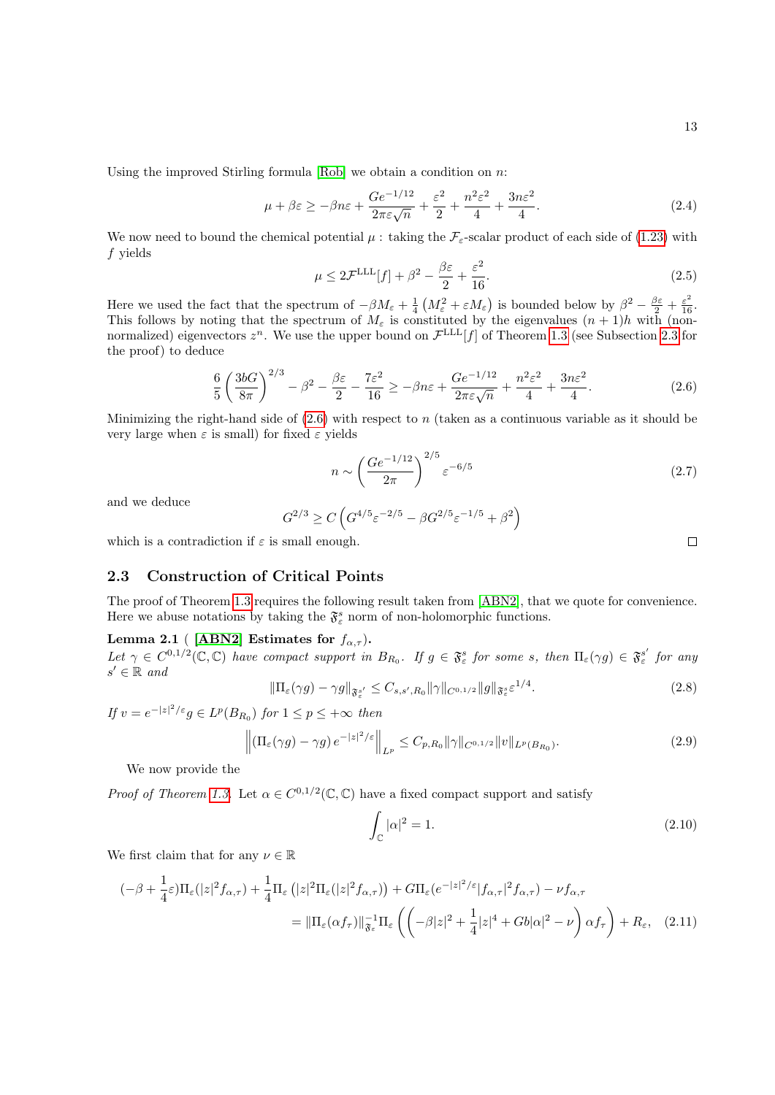Using the improved Stirling formula  $[Rob]$  we obtain a condition on n:

$$
\mu + \beta \varepsilon \ge -\beta n\varepsilon + \frac{Ge^{-1/12}}{2\pi\varepsilon\sqrt{n}} + \frac{\varepsilon^2}{2} + \frac{n^2\varepsilon^2}{4} + \frac{3n\varepsilon^2}{4}.
$$
\n(2.4)

We now need to bound the chemical potential  $\mu$ : taking the  $\mathcal{F}_{\varepsilon}$ -scalar product of each side of [\(1.23\)](#page-5-0) with f yields

$$
\mu \le 2\mathcal{F}^{\text{LLL}}[f] + \beta^2 - \frac{\beta \varepsilon}{2} + \frac{\varepsilon^2}{16}.\tag{2.5}
$$

Here we used the fact that the spectrum of  $-\beta M_{\varepsilon} + \frac{1}{4} \left( M_{\varepsilon}^2 + \varepsilon M_{\varepsilon} \right)$  is bounded below by  $\beta^2 - \frac{\beta \varepsilon}{2} + \frac{\varepsilon^2}{16}$ . This follows by noting that the spectrum of  $M_{\varepsilon}$  is constituted by the eigenvalues  $(n + 1)h$  with (nonnormalized) eigenvectors  $z^n$ . We use the upper bound on  $\mathcal{F}^{LLL}[f]$  of Theorem [1.3](#page-6-3) (see Subsection [2.3](#page-12-0) for the proof) to deduce

<span id="page-12-2"></span>
$$
\frac{6}{5}\left(\frac{3bG}{8\pi}\right)^{2/3} - \beta^2 - \frac{\beta\varepsilon}{2} - \frac{7\varepsilon^2}{16} \ge -\beta n\varepsilon + \frac{Ge^{-1/12}}{2\pi\varepsilon\sqrt{n}} + \frac{n^2\varepsilon^2}{4} + \frac{3n\varepsilon^2}{4}.
$$
\n(2.6)

Minimizing the right-hand side of  $(2.6)$  with respect to n (taken as a continuous variable as it should be very large when  $\varepsilon$  is small) for fixed  $\varepsilon$  yields

$$
n \sim \left(\frac{Ge^{-1/12}}{2\pi}\right)^{2/5} \varepsilon^{-6/5}
$$
 (2.7)

and we deduce

$$
G^{2/3} \ge C \left( G^{4/5} \varepsilon^{-2/5} - \beta G^{2/5} \varepsilon^{-1/5} + \beta^2 \right)
$$

which is a contradiction if  $\varepsilon$  is small enough.

### <span id="page-12-0"></span>2.3 Construction of Critical Points

The proof of Theorem [1.3](#page-6-3) requires the following result taken from [\[ABN2\]](#page-18-10), that we quote for convenience. Here we abuse notations by taking the  $\mathfrak{F}^s_{\varepsilon}$  norm of non-holomorphic functions.

### <span id="page-12-1"></span>Lemma 2.1 ( [\[ABN2\]](#page-18-10) Estimates for  $f_{\alpha,\tau}$ ).

<span id="page-12-3"></span>Let  $\gamma \in C^{0,1/2}(\mathbb{C}, \mathbb{C})$  have compact support in  $B_{R_0}$ . If  $g \in \mathfrak{F}_{\varepsilon}^s$  for some s, then  $\Pi_{\varepsilon}(\gamma g) \in \mathfrak{F}_{\varepsilon}^{s'}$  for any  $s' \in \mathbb{R}$  and

$$
\|\Pi_{\varepsilon}(\gamma g) - \gamma g\|_{\mathfrak{F}_{\varepsilon}^{s'}} \le C_{s,s',R_0} \|\gamma\|_{C^{0,1/2}} \|g\|_{\mathfrak{F}_{\varepsilon}^s} \varepsilon^{1/4}.
$$
\n(2.8)

If  $v = e^{-|z|^2/\varepsilon} g \in L^p(B_{R_0})$  for  $1 \le p \le +\infty$  then

$$
\left\| \left( \Pi_{\varepsilon}(\gamma g) - \gamma g \right) e^{-|z|^2/\varepsilon} \right\|_{L^p} \le C_{p, R_0} \|\gamma\|_{C^{0, 1/2}} \|v\|_{L^p(B_{R_0})}.
$$
\n(2.9)

We now provide the

*Proof of Theorem [1.3.](#page-6-3)* Let  $\alpha \in C^{0,1/2}(\mathbb{C}, \mathbb{C})$  have a fixed compact support and satisfy

<span id="page-12-6"></span><span id="page-12-5"></span><span id="page-12-4"></span>
$$
\int_{\mathbb{C}} |\alpha|^2 = 1. \tag{2.10}
$$

We first claim that for any  $\nu \in \mathbb{R}$ 

$$
(-\beta + \frac{1}{4}\varepsilon)\Pi_{\varepsilon}(|z|^2 f_{\alpha,\tau}) + \frac{1}{4}\Pi_{\varepsilon}(|z|^2 \Pi_{\varepsilon}(|z|^2 f_{\alpha,\tau})) + G\Pi_{\varepsilon}(e^{-|z|^2/\varepsilon}|f_{\alpha,\tau}|^2 f_{\alpha,\tau}) - \nu f_{\alpha,\tau}
$$
  

$$
= \|\Pi_{\varepsilon}(\alpha f_{\tau})\|_{\mathfrak{F}_{\varepsilon}}^{-1} \Pi_{\varepsilon} \left( \left( -\beta |z|^2 + \frac{1}{4}|z|^4 + Gb|\alpha|^2 - \nu \right) \alpha f_{\tau} \right) + R_{\varepsilon}, \quad (2.11)
$$

 $\Box$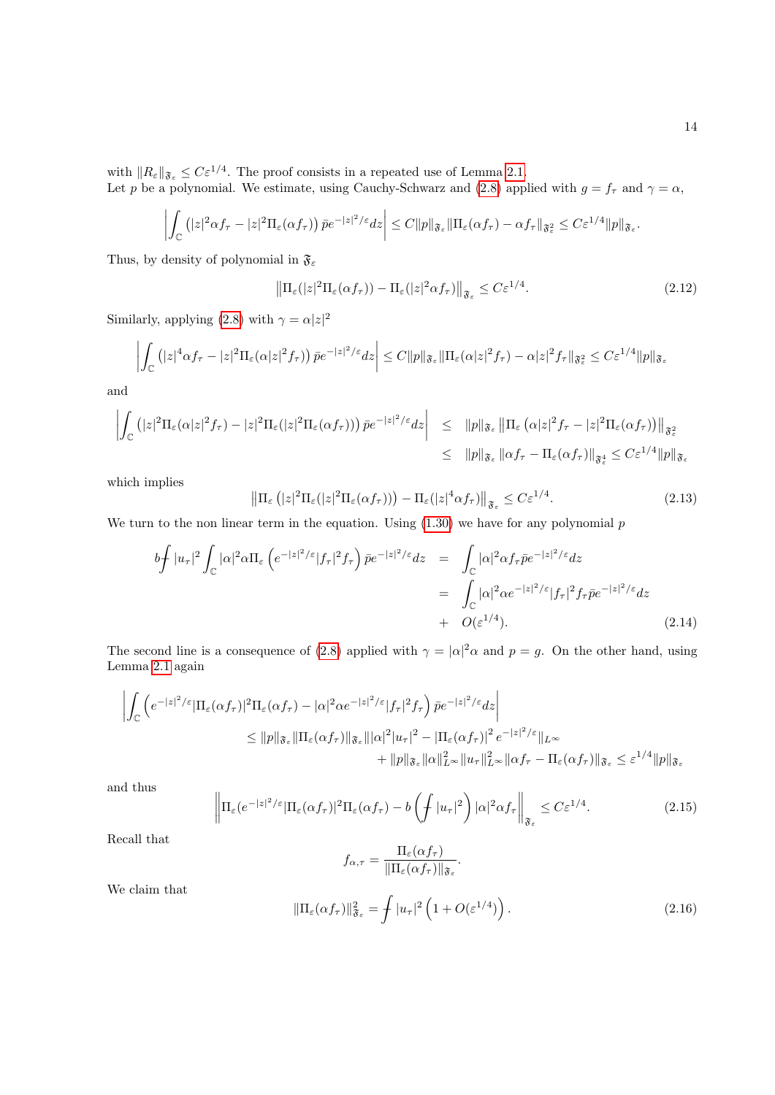with  $||R_{\varepsilon}||_{\mathfrak{F}_{\varepsilon}} \leq C\varepsilon^{1/4}$ . The proof consists in a repeated use of Lemma [2.1.](#page-12-1)

Let p be a polynomial. We estimate, using Cauchy-Schwarz and [\(2.8\)](#page-12-3) applied with  $g = f_{\tau}$  and  $\gamma = \alpha$ ,

$$
\left| \int_{\mathbb{C}} \left( |z|^2 \alpha f_\tau - |z|^2 \Pi_{\varepsilon}(\alpha f_\tau) \right) \bar{p} e^{-|z|^2/\varepsilon} dz \right| \leq C \|p\|_{\mathfrak{F}_{\varepsilon}} \|\Pi_{\varepsilon}(\alpha f_\tau) - \alpha f_\tau\|_{\mathfrak{F}_{\varepsilon}^2} \leq C \varepsilon^{1/4} \|p\|_{\mathfrak{F}_{\varepsilon}}.
$$

Thus, by density of polynomial in  $\mathfrak{F}_{\varepsilon}$ 

<span id="page-13-1"></span>
$$
\left\| \Pi_{\varepsilon}(|z|^2 \Pi_{\varepsilon}(\alpha f_{\tau})) - \Pi_{\varepsilon}(|z|^2 \alpha f_{\tau}) \right\|_{\mathfrak{F}_{\varepsilon}} \leq C \varepsilon^{1/4}.
$$

Similarly, applying [\(2.8\)](#page-12-3) with  $\gamma = \alpha |z|^2$ 

$$
\left| \int_{\mathbb{C}} \left( |z|^4 \alpha f_{\tau} - |z|^2 \Pi_{\varepsilon} (\alpha |z|^2 f_{\tau}) \right) \bar{p} e^{-|z|^2/\varepsilon} dz \right| \leq C \|p\|_{\mathfrak{F}_{\varepsilon}} \|\Pi_{\varepsilon} (\alpha |z|^2 f_{\tau}) - \alpha |z|^2 f_{\tau} \|_{\mathfrak{F}_{\varepsilon}}^2 \leq C \varepsilon^{1/4} \|p\|_{\mathfrak{F}_{\varepsilon}}
$$

and

$$
\left| \int_{\mathbb{C}} \left( |z|^2 \Pi_{\varepsilon}(\alpha |z|^2 f_{\tau}) - |z|^2 \Pi_{\varepsilon}(|z|^2 \Pi_{\varepsilon}(\alpha f_{\tau})) \right) \bar{p} e^{-|z|^2/\varepsilon} dz \right| \leq \|p\|_{\mathfrak{F}_{\varepsilon}} \left\| \Pi_{\varepsilon}(\alpha |z|^2 f_{\tau} - |z|^2 \Pi_{\varepsilon}(\alpha f_{\tau})) \right\|_{\mathfrak{F}_{\varepsilon}^2}
$$
  

$$
\leq \|p\|_{\mathfrak{F}_{\varepsilon}} \left\| \alpha f_{\tau} - \Pi_{\varepsilon}(\alpha f_{\tau}) \right\|_{\mathfrak{F}_{\varepsilon}^4} \leq C \varepsilon^{1/4} \|p\|_{\mathfrak{F}_{\varepsilon}}
$$

which implies

<span id="page-13-2"></span>
$$
\left\|\Pi_{\varepsilon}\left(|z|^2\Pi_{\varepsilon}(|z|^2\Pi_{\varepsilon}(\alpha f_{\tau}))\right) - \Pi_{\varepsilon}(|z|^4 \alpha f_{\tau})\right\|_{\mathfrak{F}_{\varepsilon}} \leq C\varepsilon^{1/4}.
$$
\n(2.13)

We turn to the non linear term in the equation. Using  $(1.30)$  we have for any polynomial  $p$ 

$$
b \int |u_{\tau}|^2 \int_{\mathbb{C}} |\alpha|^2 \alpha \Pi_{\varepsilon} \left( e^{-|z|^2/\varepsilon} |f_{\tau}|^2 f_{\tau} \right) \bar{p} e^{-|z|^2/\varepsilon} dz = \int_{\mathbb{C}} |\alpha|^2 \alpha f_{\tau} \bar{p} e^{-|z|^2/\varepsilon} dz
$$
  

$$
= \int_{\mathbb{C}} |\alpha|^2 \alpha e^{-|z|^2/\varepsilon} |f_{\tau}|^2 f_{\tau} \bar{p} e^{-|z|^2/\varepsilon} dz
$$
  

$$
+ O(\varepsilon^{1/4}). \tag{2.14}
$$

The second line is a consequence of [\(2.8\)](#page-12-3) applied with  $\gamma = |\alpha|^2 \alpha$  and  $p = g$ . On the other hand, using Lemma [2.1](#page-12-1) again

$$
\left| \int_{\mathbb{C}} \left( e^{-|z|^2/\varepsilon} |\Pi_{\varepsilon}(\alpha f_{\tau})|^2 \Pi_{\varepsilon}(\alpha f_{\tau}) - |\alpha|^2 \alpha e^{-|z|^2/\varepsilon} |f_{\tau}|^2 f_{\tau} \right) \bar{p} e^{-|z|^2/\varepsilon} dz \right|
$$
  
\n
$$
\leq \|p\|_{\mathfrak{F}_{\varepsilon}} \|\Pi_{\varepsilon}(\alpha f_{\tau})\|_{\mathfrak{F}_{\varepsilon}} \| |\alpha|^2 |u_{\tau}|^2 - |\Pi_{\varepsilon}(\alpha f_{\tau})|^2 e^{-|z|^2/\varepsilon} \|_{L^{\infty}} \n+ \|p\|_{\mathfrak{F}_{\varepsilon}} \| \alpha \|_{L^{\infty}}^2 \|u_{\tau}\|_{L^{\infty}}^2 \| \alpha f_{\tau} - \Pi_{\varepsilon}(\alpha f_{\tau}) \|_{\mathfrak{F}_{\varepsilon}} \leq \varepsilon^{1/4} \|p\|_{\mathfrak{F}_{\varepsilon}}
$$

<span id="page-13-3"></span>and thus

$$
\left\|\Pi_{\varepsilon}(e^{-|z|^{2}/\varepsilon}|\Pi_{\varepsilon}(\alpha f_{\tau})|^{2}\Pi_{\varepsilon}(\alpha f_{\tau})-b\left(\int|u_{\tau}|^{2}\right)|\alpha|^{2}\alpha f_{\tau}\right\|_{\mathfrak{F}_{\varepsilon}}\leq C\varepsilon^{1/4}.
$$
\n(2.15)

Recall that

$$
f_{\alpha,\tau} = \frac{\Pi_{\varepsilon}(\alpha f_{\tau})}{\|\Pi_{\varepsilon}(\alpha f_{\tau})\|_{\mathfrak{F}_{\varepsilon}}}.
$$

$$
\|\Pi_{\varepsilon}(\alpha f_{\tau})\|_{\mathfrak{F}_{\varepsilon}}^2 = \int |u_{\tau}|^2 \left(1 + O(\varepsilon^{1/4})\right).
$$
(2.16)

<span id="page-13-0"></span>We claim that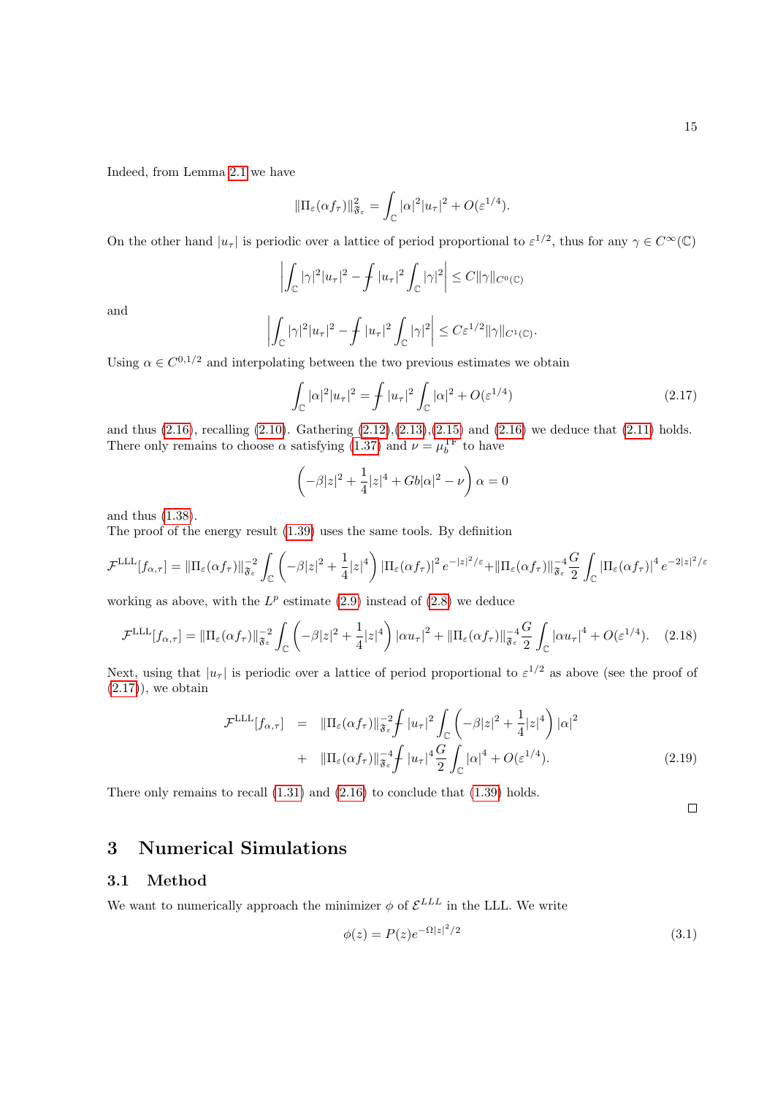Indeed, from Lemma [2.1](#page-12-1) we have

$$
\|\Pi_{\varepsilon}(\alpha f_{\tau})\|_{\mathfrak{F}_{\varepsilon}}^2 = \int_{\mathbb{C}} |\alpha|^2 |u_{\tau}|^2 + O(\varepsilon^{1/4}).
$$

On the other hand  $|u_\tau|$  is periodic over a lattice of period proportional to  $\varepsilon^{1/2}$ , thus for any  $\gamma \in C^\infty(\mathbb{C})$ 

$$
\left| \int_{\mathbb{C}} |\gamma|^2 |u_\tau|^2 - \int |u_\tau|^2 \int_{\mathbb{C}} |\gamma|^2 \right| \leq C ||\gamma||_{C^0(\mathbb{C})}
$$

and

$$
\left| \int_{\mathbb{C}} |\gamma|^2 |u_\tau|^2 - \int |u_\tau|^2 \int_{\mathbb{C}} |\gamma|^2 \right| \leq C \varepsilon^{1/2} \|\gamma\|_{C^1(\mathbb{C})}.
$$

Using  $\alpha \in C^{0,1/2}$  and interpolating between the two previous estimates we obtain

<span id="page-14-2"></span>
$$
\int_{\mathbb{C}} |\alpha|^2 |u_\tau|^2 = \int |u_\tau|^2 \int_{\mathbb{C}} |\alpha|^2 + O(\varepsilon^{1/4})
$$
\n(2.17)

and thus  $(2.16)$ , recalling  $(2.10)$ . Gathering  $(2.12),(2.13),(2.15)$  $(2.12),(2.13),(2.15)$  $(2.12),(2.13),(2.15)$  $(2.12),(2.13),(2.15)$  $(2.12),(2.13),(2.15)$  and  $(2.16)$  we deduce that  $(2.11)$  holds. There only remains to choose  $\alpha$  satisfying [\(1.37\)](#page-6-5) and  $\nu = \mu_b^{\text{TF}}$  to have

$$
\left(-\beta|z|^2 + \frac{1}{4}|z|^4 + Gb|\alpha|^2 - \nu\right)\alpha = 0
$$

and thus [\(1.38\)](#page-7-2).

The proof of the energy result [\(1.39\)](#page-7-3) uses the same tools. By definition

$$
\mathcal{F}^{\text{LLL}}[f_{\alpha,\tau}] = \|\Pi_{\varepsilon}(\alpha f_{\tau})\|_{\mathfrak{F}_{\varepsilon}}^{-2} \int_{\mathbb{C}} \left( -\beta |z|^2 + \frac{1}{4}|z|^4 \right) |\Pi_{\varepsilon}(\alpha f_{\tau})|^2 e^{-|z|^2/\varepsilon} + \|\Pi_{\varepsilon}(\alpha f_{\tau})\|_{\mathfrak{F}_{\varepsilon}}^{-4} \frac{G}{2} \int_{\mathbb{C}} |\Pi_{\varepsilon}(\alpha f_{\tau})|^4 e^{-2|z|^2/\varepsilon}
$$

working as above, with the  $L^p$  estimate [\(2.9\)](#page-12-6) instead of [\(2.8\)](#page-12-3) we deduce

$$
\mathcal{F}^{\text{LLL}}[f_{\alpha,\tau}] = \|\Pi_{\varepsilon}(\alpha f_{\tau})\|_{\mathfrak{F}_{\varepsilon}}^{-2} \int_{\mathbb{C}} \left( -\beta |z|^2 + \frac{1}{4}|z|^4 \right) |\alpha u_{\tau}|^2 + \|\Pi_{\varepsilon}(\alpha f_{\tau})\|_{\mathfrak{F}_{\varepsilon}}^{-4} \frac{G}{2} \int_{\mathbb{C}} |\alpha u_{\tau}|^4 + O(\varepsilon^{1/4}). \tag{2.18}
$$

Next, using that  $|u_{\tau}|$  is periodic over a lattice of period proportional to  $\varepsilon^{1/2}$  as above (see the proof of  $(2.17)$ , we obtain

$$
\mathcal{F}^{\text{LLL}}[f_{\alpha,\tau}] = \|\Pi_{\varepsilon}(\alpha f_{\tau})\|_{\mathfrak{F}_{\varepsilon}}^{-2} \int |u_{\tau}|^2 \int_{\mathbb{C}} \left( -\beta |z|^2 + \frac{1}{4} |z|^4 \right) |\alpha|^2
$$
  
+ 
$$
\|\Pi_{\varepsilon}(\alpha f_{\tau})\|_{\mathfrak{F}_{\varepsilon}}^{-4} \int |u_{\tau}|^4 \frac{G}{2} \int_{\mathbb{C}} |\alpha|^4 + O(\varepsilon^{1/4}). \tag{2.19}
$$

There only remains to recall [\(1.31\)](#page-6-4) and [\(2.16\)](#page-13-0) to conclude that [\(1.39\)](#page-7-3) holds.

#### $\Box$

# <span id="page-14-0"></span>3 Numerical Simulations

### <span id="page-14-1"></span>3.1 Method

We want to numerically approach the minimizer  $\phi$  of  $\mathcal{E}^{LLL}$  in the LLL. We write

$$
\phi(z) = P(z)e^{-\Omega |z|^2/2} \tag{3.1}
$$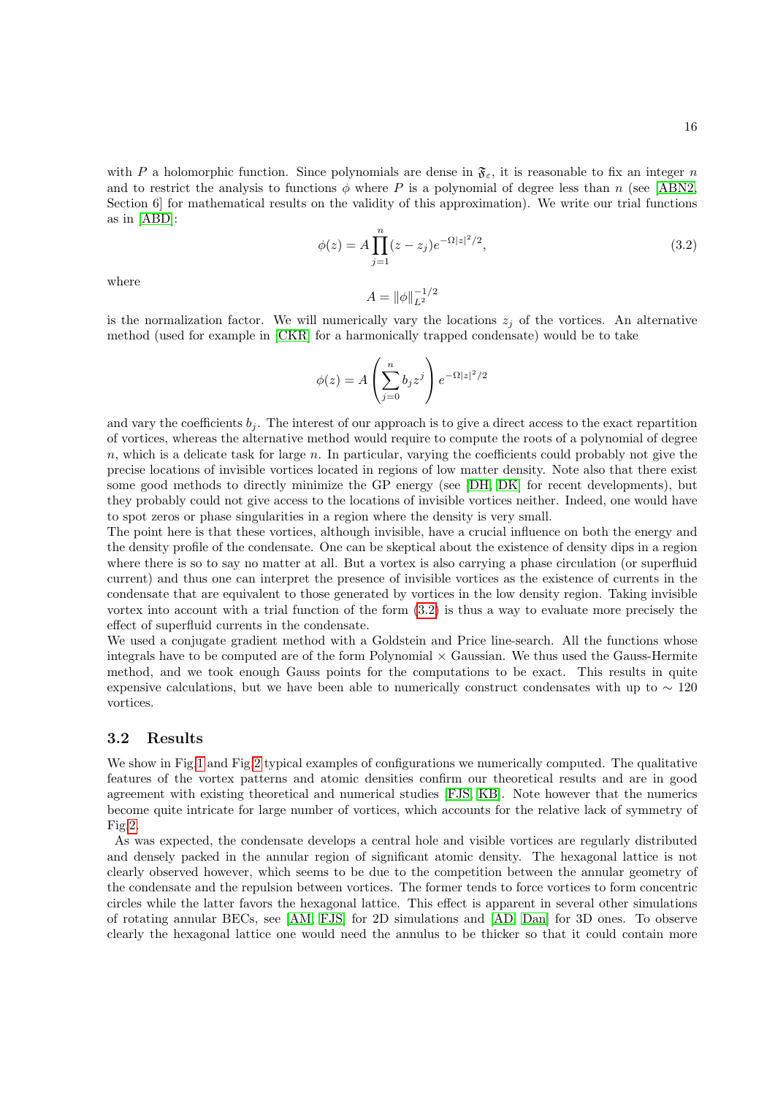<span id="page-15-1"></span>with P a holomorphic function. Since polynomials are dense in  $\mathfrak{F}_{\varepsilon}$ , it is reasonable to fix an integer n and to restrict the analysis to functions  $\phi$  where P is a polynomial of degree less than n (see [\[ABN2,](#page-18-10) Section 6 for mathematical results on the validity of this approximation). We write our trial functions as in [\[ABD\]](#page-18-4):

$$
\phi(z) = A \prod_{j=1}^{n} (z - z_j) e^{-\Omega |z|^2 / 2},
$$
\n(3.2)

where

$$
A=\|\phi\|_{L^2}^{-1/2}
$$

is the normalization factor. We will numerically vary the locations  $z_i$  of the vortices. An alternative method (used for example in [\[CKR\]](#page-18-7) for a harmonically trapped condensate) would be to take

$$
\phi(z) = A \left( \sum_{j=0}^{n} b_j z^j \right) e^{-\Omega |z|^2/2}
$$

and vary the coefficients  $b_i$ . The interest of our approach is to give a direct access to the exact repartition of vortices, whereas the alternative method would require to compute the roots of a polynomial of degree  $n$ , which is a delicate task for large n. In particular, varying the coefficients could probably not give the precise locations of invisible vortices located in regions of low matter density. Note also that there exist some good methods to directly minimize the GP energy (see [\[DH,](#page-18-16) [DK\]](#page-19-16) for recent developments), but they probably could not give access to the locations of invisible vortices neither. Indeed, one would have to spot zeros or phase singularities in a region where the density is very small.

The point here is that these vortices, although invisible, have a crucial influence on both the energy and the density profile of the condensate. One can be skeptical about the existence of density dips in a region where there is so to say no matter at all. But a vortex is also carrying a phase circulation (or superfluid current) and thus one can interpret the presence of invisible vortices as the existence of currents in the condensate that are equivalent to those generated by vortices in the low density region. Taking invisible vortex into account with a trial function of the form [\(3.2\)](#page-15-1) is thus a way to evaluate more precisely the effect of superfluid currents in the condensate.

We used a conjugate gradient method with a Goldstein and Price line-search. All the functions whose integrals have to be computed are of the form Polynomial  $\times$  Gaussian. We thus used the Gauss-Hermite method, and we took enough Gauss points for the computations to be exact. This results in quite expensive calculations, but we have been able to numerically construct condensates with up to  $\sim 120$ vortices.

### <span id="page-15-0"></span>3.2 Results

We show in Fig[.1](#page-16-0) and Fig[.2](#page-16-1) typical examples of configurations we numerically computed. The qualitative features of the vortex patterns and atomic densities confirm our theoretical results and are in good agreement with existing theoretical and numerical studies [\[FJS,](#page-19-5) [KB\]](#page-19-7). Note however that the numerics become quite intricate for large number of vortices, which accounts for the relative lack of symmetry of Fig[.2.](#page-16-1)

As was expected, the condensate develops a central hole and visible vortices are regularly distributed and densely packed in the annular region of significant atomic density. The hexagonal lattice is not clearly observed however, which seems to be due to the competition between the annular geometry of the condensate and the repulsion between vortices. The former tends to force vortices to form concentric circles while the latter favors the hexagonal lattice. This effect is apparent in several other simulations of rotating annular BECs, see [\[AM,](#page-18-6) [FJS\]](#page-19-5) for 2D simulations and [\[AD,](#page-18-17) [Dan\]](#page-18-18) for 3D ones. To observe clearly the hexagonal lattice one would need the annulus to be thicker so that it could contain more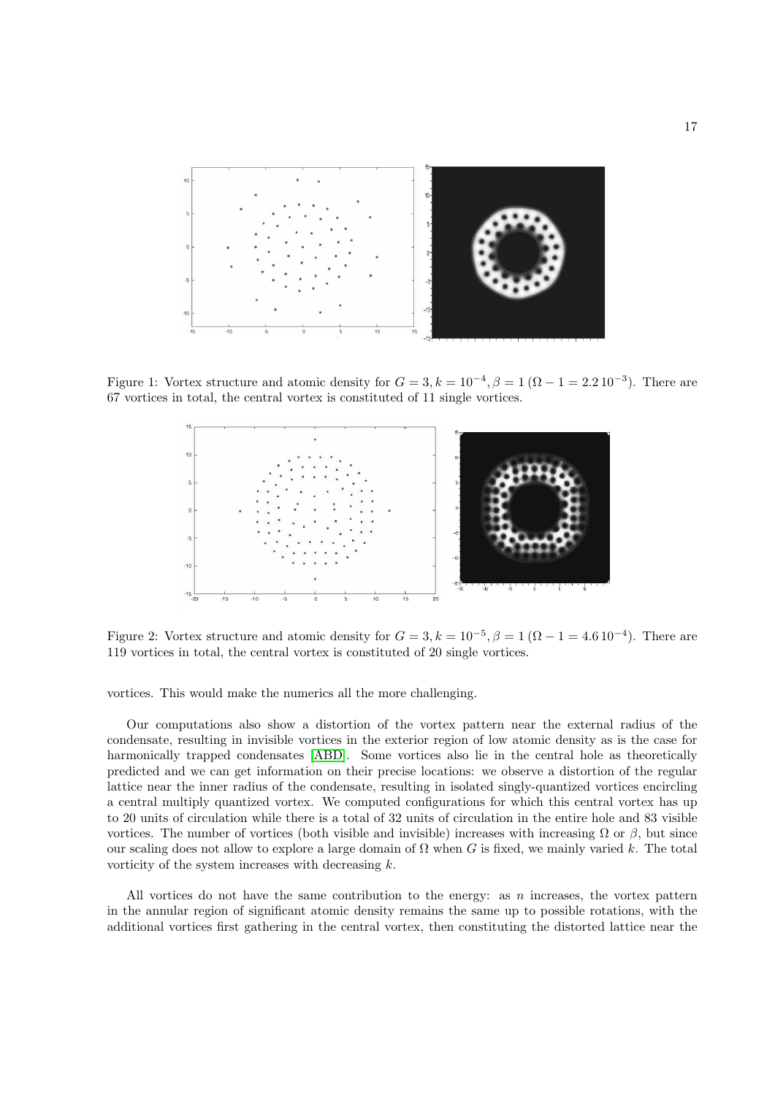

Figure 1: Vortex structure and atomic density for  $G = 3, k = 10^{-4}, \beta = 1$   $(\Omega - 1 = 2.2 10^{-3})$ . There are 67 vortices in total, the central vortex is constituted of 11 single vortices.

<span id="page-16-0"></span>

<span id="page-16-1"></span>Figure 2: Vortex structure and atomic density for  $G = 3, k = 10^{-5}, \beta = 1$  ( $\Omega - 1 = 4.6 \, 10^{-4}$ ). There are 119 vortices in total, the central vortex is constituted of 20 single vortices.

vortices. This would make the numerics all the more challenging.

Our computations also show a distortion of the vortex pattern near the external radius of the condensate, resulting in invisible vortices in the exterior region of low atomic density as is the case for harmonically trapped condensates [\[ABD\]](#page-18-4). Some vortices also lie in the central hole as theoretically predicted and we can get information on their precise locations: we observe a distortion of the regular lattice near the inner radius of the condensate, resulting in isolated singly-quantized vortices encircling a central multiply quantized vortex. We computed configurations for which this central vortex has up to 20 units of circulation while there is a total of 32 units of circulation in the entire hole and 83 visible vortices. The number of vortices (both visible and invisible) increases with increasing  $\Omega$  or  $\beta$ , but since our scaling does not allow to explore a large domain of  $\Omega$  when G is fixed, we mainly varied k. The total vorticity of the system increases with decreasing k.

All vortices do not have the same contribution to the energy: as  $n$  increases, the vortex pattern in the annular region of significant atomic density remains the same up to possible rotations, with the additional vortices first gathering in the central vortex, then constituting the distorted lattice near the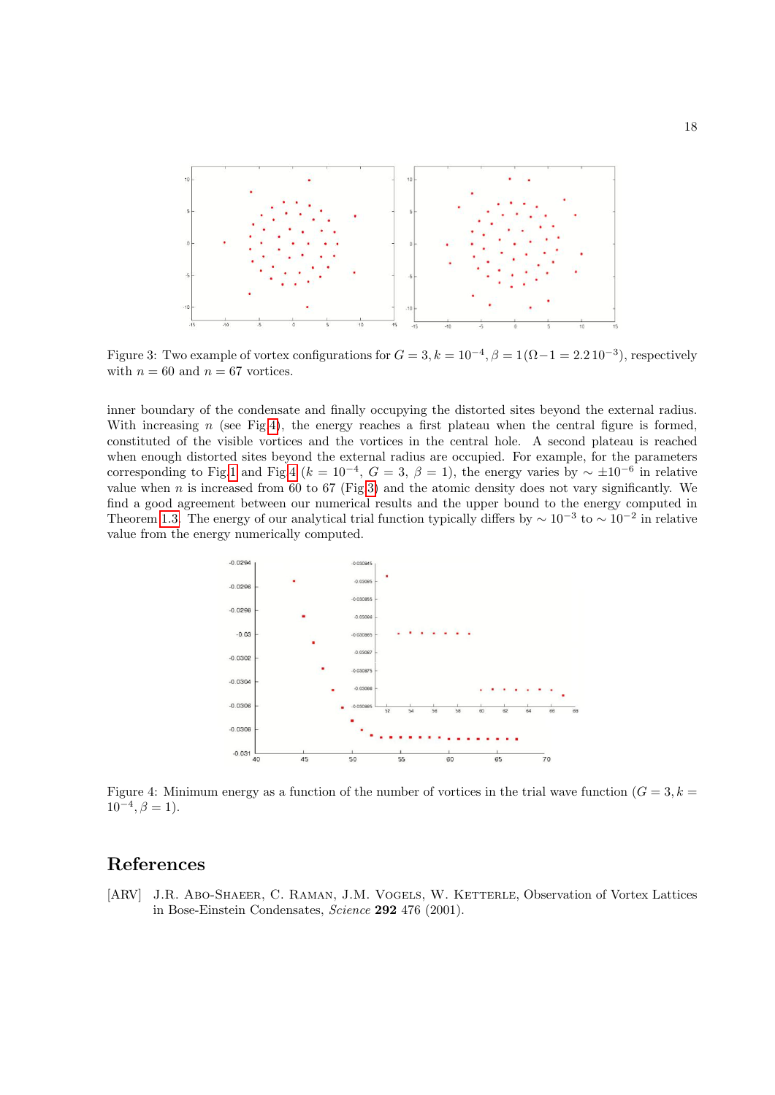

<span id="page-17-2"></span>Figure 3: Two example of vortex configurations for  $G = 3, k = 10^{-4}, \beta = 1(\Omega - 1 = 2.2 10^{-3})$ , respectively with  $n = 60$  and  $n = 67$  vortices.

inner boundary of the condensate and finally occupying the distorted sites beyond the external radius. With increasing  $n$  (see Fig[.4\)](#page-17-1), the energy reaches a first plateau when the central figure is formed, constituted of the visible vortices and the vortices in the central hole. A second plateau is reached when enough distorted sites beyond the external radius are occupied. For example, for the parameters corresponding to Fig[.1](#page-16-0) and Fig[.4](#page-17-1) ( $k = 10^{-4}$ ,  $G = 3$ ,  $\beta = 1$ ), the energy varies by  $\sim \pm 10^{-6}$  in relative value when n is increased from 60 to 67 (Fig[.3\)](#page-17-2) and the atomic density does not vary significantly. We find a good agreement between our numerical results and the upper bound to the energy computed in Theorem [1.3.](#page-6-3) The energy of our analytical trial function typically differs by  $\sim 10^{-3}$  to  $\sim 10^{-2}$  in relative value from the energy numerically computed.



<span id="page-17-1"></span>Figure 4: Minimum energy as a function of the number of vortices in the trial wave function  $(G = 3, k = 1)$  $10^{-4}, \beta = 1$ ).

# References

<span id="page-17-0"></span>[ARV] J.R. Abo-Shaeer, C. RAMAN, J.M. VOGELS, W. KETTERLE, Observation of Vortex Lattices in Bose-Einstein Condensates, Science 292 476 (2001).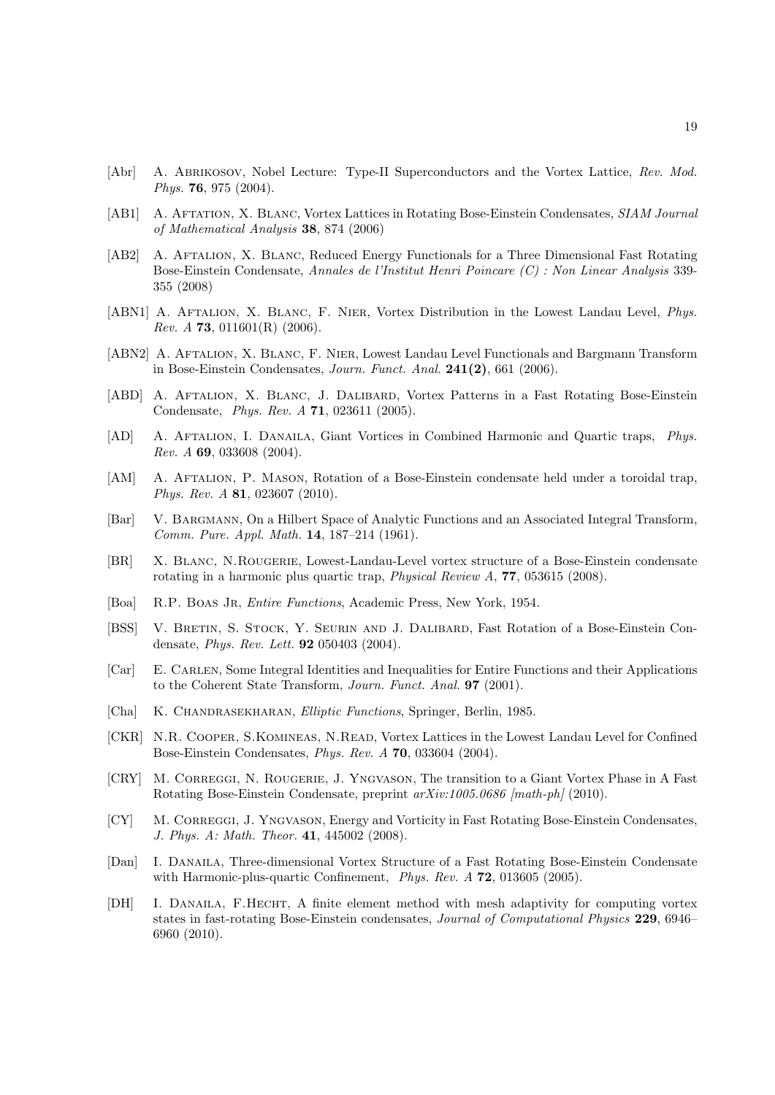- <span id="page-18-1"></span>[Abr] A. ABRIKOSOV, Nobel Lecture: Type-II Superconductors and the Vortex Lattice, Rev. Mod. Phys. 76, 975 (2004).
- <span id="page-18-9"></span>[AB1] A. AFTATION, X. BLANC, Vortex Lattices in Rotating Bose-Einstein Condensates, SIAM Journal of Mathematical Analysis 38, 874 (2006)
- <span id="page-18-8"></span>[AB2] A. Aftalion, X. Blanc, Reduced Energy Functionals for a Three Dimensional Fast Rotating Bose-Einstein Condensate, Annales de l'Institut Henri Poincare (C) : Non Linear Analysis 339- 355 (2008)
- <span id="page-18-11"></span>[ABN1] A. AFTALION, X. BLANC, F. NIER, Vortex Distribution in the Lowest Landau Level, *Phys.* Rev. A 73, 011601(R)  $(2006)$ .
- <span id="page-18-10"></span>[ABN2] A. AFTALION, X. BLANC, F. NIER, Lowest Landau Level Functionals and Bargmann Transform in Bose-Einstein Condensates, Journ. Funct. Anal. 241(2), 661 (2006).
- <span id="page-18-4"></span>[ABD] A. Aftalion, X. Blanc, J. Dalibard, Vortex Patterns in a Fast Rotating Bose-Einstein Condensate, Phys. Rev. A 71, 023611 (2005).
- <span id="page-18-17"></span>[AD] A. Aftalion, I. Danaila, Giant Vortices in Combined Harmonic and Quartic traps, Phys. Rev. A 69, 033608 (2004).
- <span id="page-18-6"></span>[AM] A. AFTALION, P. MASON, Rotation of a Bose-Einstein condensate held under a toroidal trap, Phys. Rev. A 81, 023607 (2010).
- <span id="page-18-12"></span>[Bar] V. BARGMANN, On a Hilbert Space of Analytic Functions and an Associated Integral Transform, Comm. Pure. Appl. Math. 14, 187–214 (1961).
- <span id="page-18-5"></span>[BR] X. Blanc, N.Rougerie, Lowest-Landau-Level vortex structure of a Bose-Einstein condensate rotating in a harmonic plus quartic trap, *Physical Review A*, **77**, 053615 (2008).
- <span id="page-18-15"></span>[Boa] R.P. BOAS JR, *Entire Functions*, Academic Press, New York, 1954.
- <span id="page-18-0"></span>[BSS] V. BRETIN, S. STOCK, Y. SEURIN AND J. DALIBARD, Fast Rotation of a Bose-Einstein Condensate, Phys. Rev. Lett. 92 050403 (2004).
- <span id="page-18-14"></span>[Car] E. Carlen, Some Integral Identities and Inequalities for Entire Functions and their Applications to the Coherent State Transform, Journ. Funct. Anal. 97 (2001).
- <span id="page-18-13"></span>[Cha] K. CHANDRASEKHARAN, *Elliptic Functions*, Springer, Berlin, 1985.
- <span id="page-18-7"></span>[CKR] N.R. Cooper, S.Komineas, N.Read, Vortex Lattices in the Lowest Landau Level for Confined Bose-Einstein Condensates, Phys. Rev. A 70, 033604 (2004).
- <span id="page-18-3"></span>[CRY] M. Correggi, N. Rougerie, J. Yngvason, The transition to a Giant Vortex Phase in A Fast Rotating Bose-Einstein Condensate, preprint  $arXiv:1005.0686$  [math-ph] (2010).
- <span id="page-18-2"></span>[CY] M. CORREGGI, J. YNGVASON, Energy and Vorticity in Fast Rotating Bose-Einstein Condensates, J. Phys. A: Math. Theor. 41, 445002 (2008).
- <span id="page-18-18"></span>[Dan] I. Danaila, Three-dimensional Vortex Structure of a Fast Rotating Bose-Einstein Condensate with Harmonic-plus-quartic Confinement, Phys. Rev. A **72**, 013605 (2005).
- <span id="page-18-16"></span>[DH] I. DANAILA, F.HECHT, A finite element method with mesh adaptivity for computing vortex states in fast-rotating Bose-Einstein condensates, Journal of Computational Physics 229, 6946– 6960 (2010).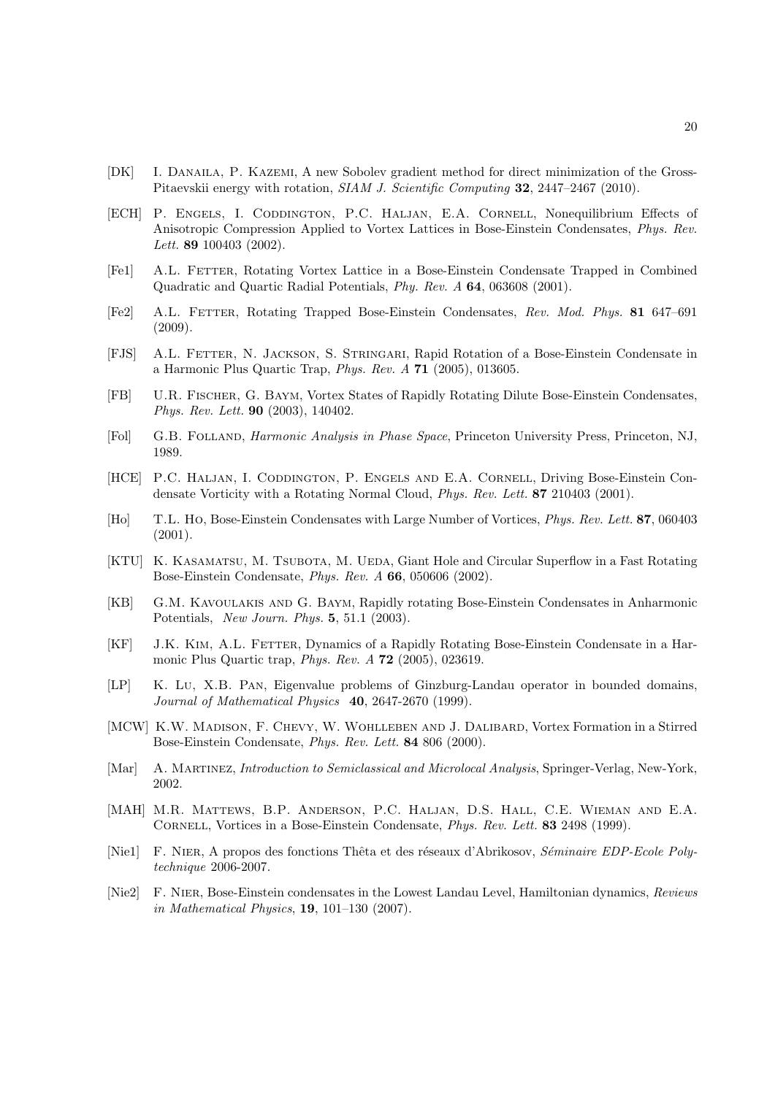- <span id="page-19-16"></span>[DK] I. Danaila, P. Kazemi, A new Sobolev gradient method for direct minimization of the Gross-Pitaevskii energy with rotation, SIAM J. Scientific Computing 32, 2447–2467 (2010).
- <span id="page-19-4"></span>[ECH] P. ENGELS, I. CODDINGTON, P.C. HALJAN, E.A. CORNELL, Nonequilibrium Effects of Anisotropic Compression Applied to Vortex Lattices in Bose-Einstein Condensates, Phys. Rev. Lett. **89** 100403 (2002).
- [Fe1] A.L. Fetter, Rotating Vortex Lattice in a Bose-Einstein Condensate Trapped in Combined Quadratic and Quartic Radial Potentials, Phy. Rev. A 64, 063608 (2001).
- <span id="page-19-0"></span>[Fe2] A.L. Fetter, Rotating Trapped Bose-Einstein Condensates, Rev. Mod. Phys. 81 647–691 (2009).
- <span id="page-19-5"></span>[FJS] A.L. Fetter, N. Jackson, S. Stringari, Rapid Rotation of a Bose-Einstein Condensate in a Harmonic Plus Quartic Trap, Phys. Rev. A 71 (2005), 013605.
- <span id="page-19-6"></span>[FB] U.R. Fischer, G. Baym, Vortex States of Rapidly Rotating Dilute Bose-Einstein Condensates, Phys. Rev. Lett. 90 (2003), 140402.
- <span id="page-19-14"></span>[Fol] G.B. Folland, Harmonic Analysis in Phase Space, Princeton University Press, Princeton, NJ, 1989.
- <span id="page-19-3"></span>[HCE] P.C. HALJAN, I. CODDINGTON, P. ENGELS AND E.A. CORNELL, Driving Bose-Einstein Condensate Vorticity with a Rotating Normal Cloud, Phys. Rev. Lett. 87 210403 (2001).
- <span id="page-19-10"></span>[Ho] T.L. Ho, Bose-Einstein Condensates with Large Number of Vortices, Phys. Rev. Lett. 87, 060403 (2001).
- <span id="page-19-9"></span>[KTU] K. KASAMATSU, M. TSUBOTA, M. UEDA, Giant Hole and Circular Superflow in a Fast Rotating Bose-Einstein Condensate, Phys. Rev. A 66, 050606 (2002).
- <span id="page-19-7"></span>[KB] G.M. Kavoulakis and G. Baym, Rapidly rotating Bose-Einstein Condensates in Anharmonic Potentials, New Journ. Phys. 5, 51.1 (2003).
- <span id="page-19-8"></span>[KF] J.K. Kim, A.L. Fetter, Dynamics of a Rapidly Rotating Bose-Einstein Condensate in a Harmonic Plus Quartic trap, Phys. Rev. A 72 (2005), 023619.
- <span id="page-19-11"></span>[LP] K. Lu, X.B. Pan, Eigenvalue problems of Ginzburg-Landau operator in bounded domains, Journal of Mathematical Physics 40, 2647-2670 (1999).
- <span id="page-19-2"></span>[MCW] K.W. Madison, F. Chevy, W. Wohlleben and J. Dalibard, Vortex Formation in a Stirred Bose-Einstein Condensate, Phys. Rev. Lett. 84 806 (2000).
- <span id="page-19-13"></span>[Mar] A. MARTINEZ, *Introduction to Semiclassical and Microlocal Analysis*, Springer-Verlag, New-York, 2002.
- <span id="page-19-1"></span>[MAH] M.R. Mattews, B.P. Anderson, P.C. Haljan, D.S. Hall, C.E. Wieman and E.A. Cornell, Vortices in a Bose-Einstein Condensate, Phys. Rev. Lett. 83 2498 (1999).
- <span id="page-19-15"></span>[Nie1] F. NIER, A propos des fonctions Thêta et des réseaux d'Abrikosov, Séminaire EDP-Ecole Polytechnique 2006-2007.
- <span id="page-19-12"></span>[Nie2] F. NIER, Bose-Einstein condensates in the Lowest Landau Level, Hamiltonian dynamics, Reviews in Mathematical Physics, 19, 101–130 (2007).